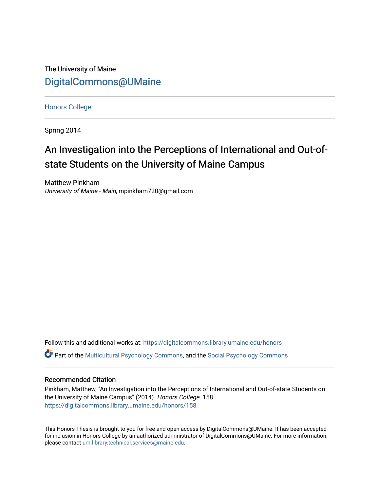The University of Maine [DigitalCommons@UMaine](https://digitalcommons.library.umaine.edu/)

[Honors College](https://digitalcommons.library.umaine.edu/honors)

Spring 2014

# An Investigation into the Perceptions of International and Out-ofstate Students on the University of Maine Campus

Matthew Pinkham University of Maine - Main, mpinkham720@gmail.com

Follow this and additional works at: [https://digitalcommons.library.umaine.edu/honors](https://digitalcommons.library.umaine.edu/honors?utm_source=digitalcommons.library.umaine.edu%2Fhonors%2F158&utm_medium=PDF&utm_campaign=PDFCoverPages)   $\bullet$  Part of the [Multicultural Psychology Commons,](http://network.bepress.com/hgg/discipline/1237?utm_source=digitalcommons.library.umaine.edu%2Fhonors%2F158&utm_medium=PDF&utm_campaign=PDFCoverPages) and the Social Psychology Commons

## Recommended Citation

Pinkham, Matthew, "An Investigation into the Perceptions of International and Out-of-state Students on the University of Maine Campus" (2014). Honors College. 158. [https://digitalcommons.library.umaine.edu/honors/158](https://digitalcommons.library.umaine.edu/honors/158?utm_source=digitalcommons.library.umaine.edu%2Fhonors%2F158&utm_medium=PDF&utm_campaign=PDFCoverPages) 

This Honors Thesis is brought to you for free and open access by DigitalCommons@UMaine. It has been accepted for inclusion in Honors College by an authorized administrator of DigitalCommons@UMaine. For more information, please contact [um.library.technical.services@maine.edu.](mailto:um.library.technical.services@maine.edu)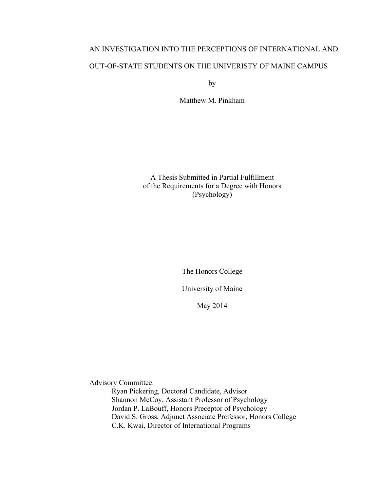# AN INVESTIGATION INTO THE PERCEPTIONS OF INTERNATIONAL AND OUT-OF-STATE STUDENTS ON THE UNIVERISTY OF MAINE CAMPUS

by

Matthew M. Pinkham

A Thesis Submitted in Partial Fulfillment of the Requirements for a Degree with Honors (Psychology)

The Honors College

University of Maine

May 2014

Advisory Committee:

Ryan Pickering, Doctoral Candidate, Advisor Shannon McCoy, Assistant Professor of Psychology Jordan P. LaBouff, Honors Preceptor of Psychology David S. Gross, Adjunct Associate Professor, Honors College C.K. Kwai, Director of International Programs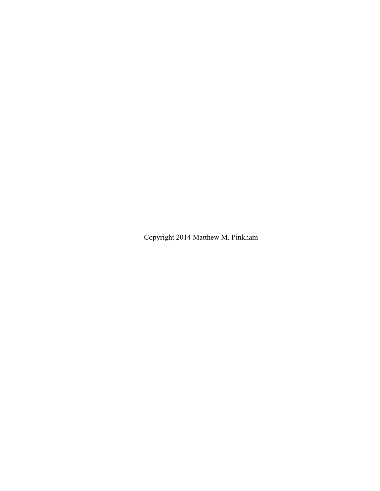Copyright 2014 Matthew M. Pinkham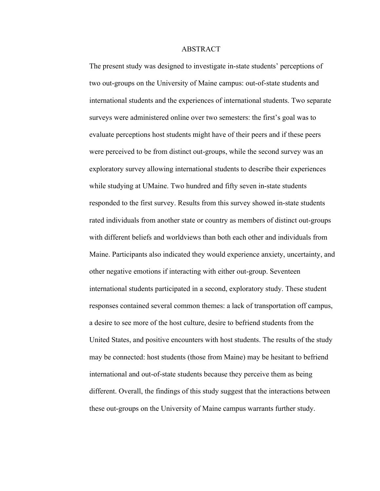## ABSTRACT

The present study was designed to investigate in-state students' perceptions of two out-groups on the University of Maine campus: out-of-state students and international students and the experiences of international students. Two separate surveys were administered online over two semesters: the first's goal was to evaluate perceptions host students might have of their peers and if these peers were perceived to be from distinct out-groups, while the second survey was an exploratory survey allowing international students to describe their experiences while studying at UMaine. Two hundred and fifty seven in-state students responded to the first survey. Results from this survey showed in-state students rated individuals from another state or country as members of distinct out-groups with different beliefs and worldviews than both each other and individuals from Maine. Participants also indicated they would experience anxiety, uncertainty, and other negative emotions if interacting with either out-group. Seventeen international students participated in a second, exploratory study. These student responses contained several common themes: a lack of transportation off campus, a desire to see more of the host culture, desire to befriend students from the United States, and positive encounters with host students. The results of the study may be connected: host students (those from Maine) may be hesitant to befriend international and out-of-state students because they perceive them as being different. Overall, the findings of this study suggest that the interactions between these out-groups on the University of Maine campus warrants further study.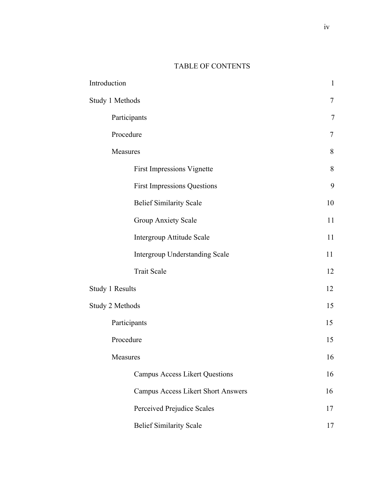# TABLE OF CONTENTS

| Introduction           |                                           | $\mathbf{1}$   |
|------------------------|-------------------------------------------|----------------|
| Study 1 Methods        |                                           | 7              |
| Participants           |                                           | $\overline{7}$ |
| Procedure              |                                           | $\tau$         |
| Measures               |                                           | 8              |
|                        | <b>First Impressions Vignette</b>         | 8              |
|                        | <b>First Impressions Questions</b>        | 9              |
|                        | <b>Belief Similarity Scale</b>            | 10             |
|                        | <b>Group Anxiety Scale</b>                | 11             |
|                        | <b>Intergroup Attitude Scale</b>          | 11             |
|                        | <b>Intergroup Understanding Scale</b>     | 11             |
|                        | <b>Trait Scale</b>                        | 12             |
| <b>Study 1 Results</b> |                                           | 12             |
| Study 2 Methods        |                                           | 15             |
| Participants           |                                           | 15             |
| Procedure              |                                           | 15             |
| Measures               |                                           | 16             |
|                        | <b>Campus Access Likert Questions</b>     | 16             |
|                        | <b>Campus Access Likert Short Answers</b> | 16             |
|                        | Perceived Prejudice Scales                | 17             |
|                        | <b>Belief Similarity Scale</b>            | 17             |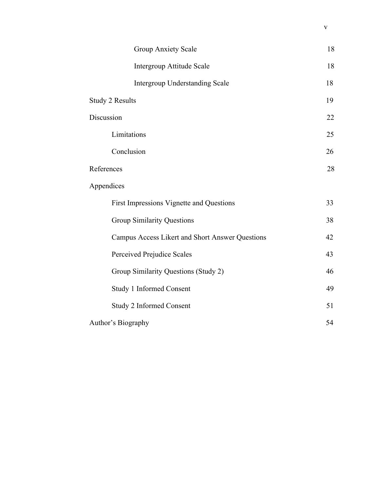| <b>Group Anxiety Scale</b>                      | 18 |
|-------------------------------------------------|----|
| Intergroup Attitude Scale                       | 18 |
| <b>Intergroup Understanding Scale</b>           | 18 |
| <b>Study 2 Results</b>                          | 19 |
| Discussion                                      | 22 |
| Limitations                                     | 25 |
| Conclusion                                      | 26 |
| References                                      | 28 |
| Appendices                                      |    |
| First Impressions Vignette and Questions        | 33 |
| <b>Group Similarity Questions</b>               | 38 |
| Campus Access Likert and Short Answer Questions | 42 |
| Perceived Prejudice Scales                      | 43 |
| Group Similarity Questions (Study 2)            | 46 |
| Study 1 Informed Consent                        | 49 |
| <b>Study 2 Informed Consent</b>                 | 51 |
| Author's Biography                              | 54 |

v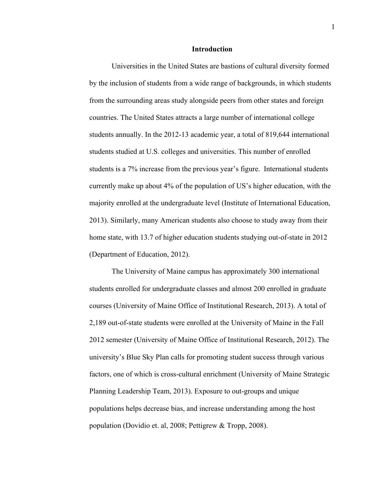#### **Introduction**

Universities in the United States are bastions of cultural diversity formed by the inclusion of students from a wide range of backgrounds, in which students from the surrounding areas study alongside peers from other states and foreign countries. The United States attracts a large number of international college students annually. In the 2012-13 academic year, a total of 819,644 international students studied at U.S. colleges and universities. This number of enrolled students is a 7% increase from the previous year's figure. International students currently make up about 4% of the population of US's higher education, with the majority enrolled at the undergraduate level (Institute of International Education, 2013). Similarly, many American students also choose to study away from their home state, with 13.7 of higher education students studying out-of-state in 2012 (Department of Education, 2012).

The University of Maine campus has approximately 300 international students enrolled for undergraduate classes and almost 200 enrolled in graduate courses (University of Maine Office of Institutional Research, 2013). A total of 2,189 out-of-state students were enrolled at the University of Maine in the Fall 2012 semester (University of Maine Office of Institutional Research, 2012). The university's Blue Sky Plan calls for promoting student success through various factors, one of which is cross-cultural enrichment (University of Maine Strategic Planning Leadership Team, 2013). Exposure to out-groups and unique populations helps decrease bias, and increase understanding among the host population (Dovidio et. al, 2008; Pettigrew & Tropp, 2008).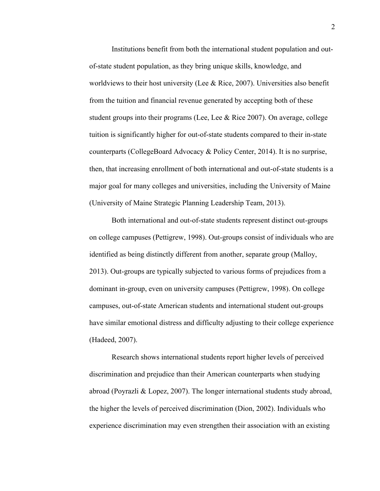Institutions benefit from both the international student population and outof-state student population, as they bring unique skills, knowledge, and worldviews to their host university (Lee & Rice, 2007). Universities also benefit from the tuition and financial revenue generated by accepting both of these student groups into their programs (Lee, Lee  $&$  Rice 2007). On average, college tuition is significantly higher for out-of-state students compared to their in-state counterparts (CollegeBoard Advocacy & Policy Center, 2014). It is no surprise, then, that increasing enrollment of both international and out-of-state students is a major goal for many colleges and universities, including the University of Maine (University of Maine Strategic Planning Leadership Team, 2013).

Both international and out-of-state students represent distinct out-groups on college campuses (Pettigrew, 1998). Out-groups consist of individuals who are identified as being distinctly different from another, separate group (Malloy, 2013). Out-groups are typically subjected to various forms of prejudices from a dominant in-group, even on university campuses (Pettigrew, 1998). On college campuses, out-of-state American students and international student out-groups have similar emotional distress and difficulty adjusting to their college experience (Hadeed, 2007).

Research shows international students report higher levels of perceived discrimination and prejudice than their American counterparts when studying abroad (Poyrazli & Lopez, 2007). The longer international students study abroad, the higher the levels of perceived discrimination (Dion, 2002). Individuals who experience discrimination may even strengthen their association with an existing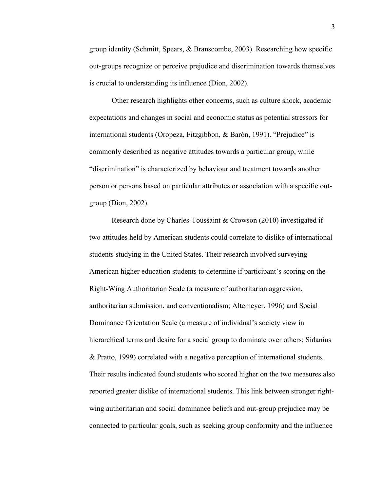group identity (Schmitt, Spears, & Branscombe, 2003). Researching how specific out-groups recognize or perceive prejudice and discrimination towards themselves is crucial to understanding its influence (Dion, 2002).

Other research highlights other concerns, such as culture shock, academic expectations and changes in social and economic status as potential stressors for international students (Oropeza, Fitzgibbon, & Barón, 1991). "Prejudice" is commonly described as negative attitudes towards a particular group, while "discrimination" is characterized by behaviour and treatment towards another person or persons based on particular attributes or association with a specific outgroup (Dion, 2002).

Research done by Charles-Toussaint & Crowson (2010) investigated if two attitudes held by American students could correlate to dislike of international students studying in the United States. Their research involved surveying American higher education students to determine if participant's scoring on the Right-Wing Authoritarian Scale (a measure of authoritarian aggression, authoritarian submission, and conventionalism; Altemeyer, 1996) and Social Dominance Orientation Scale (a measure of individual's society view in hierarchical terms and desire for a social group to dominate over others; Sidanius & Pratto, 1999) correlated with a negative perception of international students. Their results indicated found students who scored higher on the two measures also reported greater dislike of international students. This link between stronger rightwing authoritarian and social dominance beliefs and out-group prejudice may be connected to particular goals, such as seeking group conformity and the influence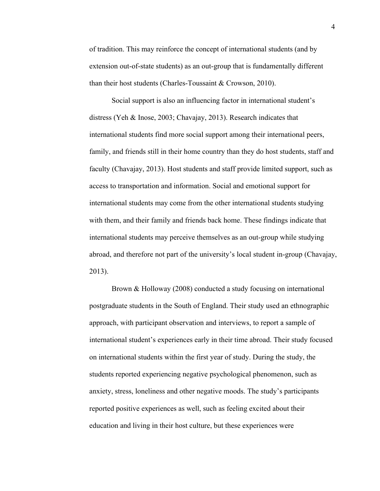of tradition. This may reinforce the concept of international students (and by extension out-of-state students) as an out-group that is fundamentally different than their host students (Charles-Toussaint & Crowson, 2010).

Social support is also an influencing factor in international student's distress (Yeh & Inose, 2003; Chavajay, 2013). Research indicates that international students find more social support among their international peers, family, and friends still in their home country than they do host students, staff and faculty (Chavajay, 2013). Host students and staff provide limited support, such as access to transportation and information. Social and emotional support for international students may come from the other international students studying with them, and their family and friends back home. These findings indicate that international students may perceive themselves as an out-group while studying abroad, and therefore not part of the university's local student in-group (Chavajay, 2013).

Brown & Holloway (2008) conducted a study focusing on international postgraduate students in the South of England. Their study used an ethnographic approach, with participant observation and interviews, to report a sample of international student's experiences early in their time abroad. Their study focused on international students within the first year of study. During the study, the students reported experiencing negative psychological phenomenon, such as anxiety, stress, loneliness and other negative moods. The study's participants reported positive experiences as well, such as feeling excited about their education and living in their host culture, but these experiences were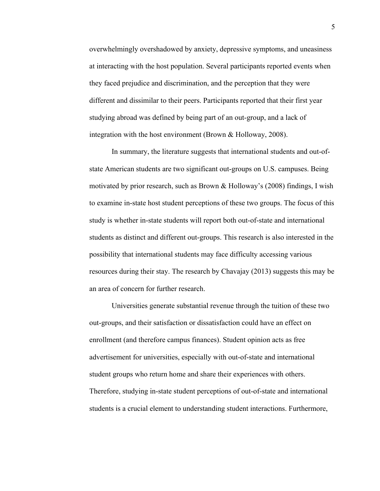overwhelmingly overshadowed by anxiety, depressive symptoms, and uneasiness at interacting with the host population. Several participants reported events when they faced prejudice and discrimination, and the perception that they were different and dissimilar to their peers. Participants reported that their first year studying abroad was defined by being part of an out-group, and a lack of integration with the host environment (Brown & Holloway, 2008).

In summary, the literature suggests that international students and out-ofstate American students are two significant out-groups on U.S. campuses. Being motivated by prior research, such as Brown & Holloway's (2008) findings, I wish to examine in-state host student perceptions of these two groups. The focus of this study is whether in-state students will report both out-of-state and international students as distinct and different out-groups. This research is also interested in the possibility that international students may face difficulty accessing various resources during their stay. The research by Chavajay (2013) suggests this may be an area of concern for further research.

Universities generate substantial revenue through the tuition of these two out-groups, and their satisfaction or dissatisfaction could have an effect on enrollment (and therefore campus finances). Student opinion acts as free advertisement for universities, especially with out-of-state and international student groups who return home and share their experiences with others. Therefore, studying in-state student perceptions of out-of-state and international students is a crucial element to understanding student interactions. Furthermore,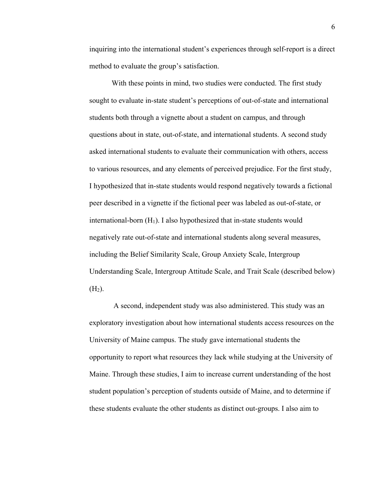inquiring into the international student's experiences through self-report is a direct method to evaluate the group's satisfaction.

With these points in mind, two studies were conducted. The first study sought to evaluate in-state student's perceptions of out-of-state and international students both through a vignette about a student on campus, and through questions about in state, out-of-state, and international students. A second study asked international students to evaluate their communication with others, access to various resources, and any elements of perceived prejudice. For the first study, I hypothesized that in-state students would respond negatively towards a fictional peer described in a vignette if the fictional peer was labeled as out-of-state, or international-born  $(H_1)$ . I also hypothesized that in-state students would negatively rate out-of-state and international students along several measures, including the Belief Similarity Scale, Group Anxiety Scale, Intergroup Understanding Scale, Intergroup Attitude Scale, and Trait Scale (described below)  $(H_2)$ .

A second, independent study was also administered. This study was an exploratory investigation about how international students access resources on the University of Maine campus. The study gave international students the opportunity to report what resources they lack while studying at the University of Maine. Through these studies, I aim to increase current understanding of the host student population's perception of students outside of Maine, and to determine if these students evaluate the other students as distinct out-groups. I also aim to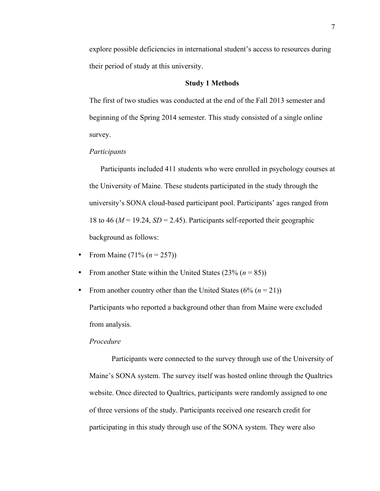explore possible deficiencies in international student's access to resources during their period of study at this university.

## **Study 1 Methods**

The first of two studies was conducted at the end of the Fall 2013 semester and beginning of the Spring 2014 semester. This study consisted of a single online survey.

#### *Participants*

Participants included 411 students who were enrolled in psychology courses at the University of Maine. These students participated in the study through the university's SONA cloud-based participant pool. Participants' ages ranged from 18 to 46 ( $M = 19.24$ ,  $SD = 2.45$ ). Participants self-reported their geographic background as follows:

- From Maine  $(71\% (n = 257))$
- From another State within the United States  $(23\% (n = 85))$
- From another country other than the United States  $(6\% (n = 21))$ Participants who reported a background other than from Maine were excluded from analysis.

## *Procedure*

Participants were connected to the survey through use of the University of Maine's SONA system. The survey itself was hosted online through the Qualtrics website. Once directed to Qualtrics, participants were randomly assigned to one of three versions of the study. Participants received one research credit for participating in this study through use of the SONA system. They were also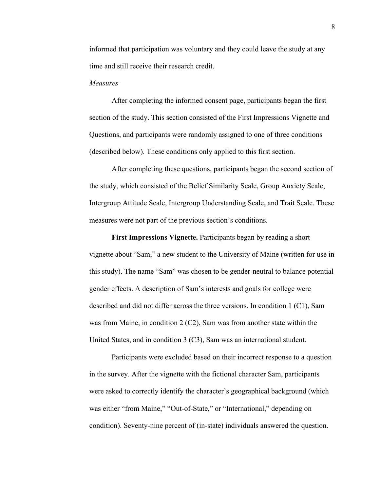informed that participation was voluntary and they could leave the study at any time and still receive their research credit.

## *Measures*

After completing the informed consent page, participants began the first section of the study. This section consisted of the First Impressions Vignette and Questions, and participants were randomly assigned to one of three conditions (described below). These conditions only applied to this first section.

After completing these questions, participants began the second section of the study, which consisted of the Belief Similarity Scale, Group Anxiety Scale, Intergroup Attitude Scale, Intergroup Understanding Scale, and Trait Scale. These measures were not part of the previous section's conditions.

**First Impressions Vignette.** Participants began by reading a short vignette about "Sam," a new student to the University of Maine (written for use in this study). The name "Sam" was chosen to be gender-neutral to balance potential gender effects. A description of Sam's interests and goals for college were described and did not differ across the three versions. In condition 1 (C1), Sam was from Maine, in condition 2 (C2), Sam was from another state within the United States, and in condition 3 (C3), Sam was an international student.

Participants were excluded based on their incorrect response to a question in the survey. After the vignette with the fictional character Sam, participants were asked to correctly identify the character's geographical background (which was either "from Maine," "Out-of-State," or "International," depending on condition). Seventy-nine percent of (in-state) individuals answered the question.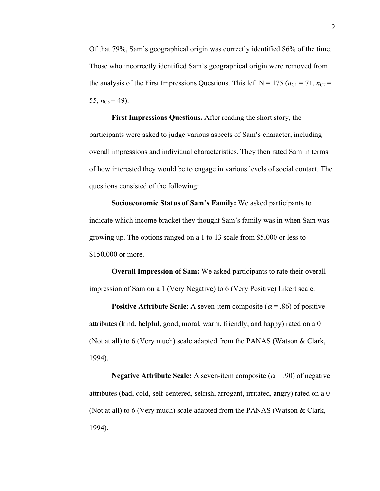Of that 79%, Sam's geographical origin was correctly identified 86% of the time. Those who incorrectly identified Sam's geographical origin were removed from the analysis of the First Impressions Questions. This left  $N = 175$  ( $n_{C1} = 71$ ,  $n_{C2} =$ 55,  $n_{\text{C3}} = 49$ ).

**First Impressions Questions.** After reading the short story, the participants were asked to judge various aspects of Sam's character, including overall impressions and individual characteristics. They then rated Sam in terms of how interested they would be to engage in various levels of social contact. The questions consisted of the following:

**Socioeconomic Status of Sam's Family:** We asked participants to indicate which income bracket they thought Sam's family was in when Sam was growing up. The options ranged on a 1 to 13 scale from \$5,000 or less to \$150,000 or more.

**Overall Impression of Sam:** We asked participants to rate their overall impression of Sam on a 1 (Very Negative) to 6 (Very Positive) Likert scale.

**Positive Attribute Scale**: A seven-item composite ( $\alpha$  = .86) of positive attributes (kind, helpful, good, moral, warm, friendly, and happy) rated on a 0 (Not at all) to 6 (Very much) scale adapted from the PANAS (Watson & Clark, 1994).

**Negative Attribute Scale:** A seven-item composite ( $\alpha$  = .90) of negative attributes (bad, cold, self-centered, selfish, arrogant, irritated, angry) rated on a 0 (Not at all) to 6 (Very much) scale adapted from the PANAS (Watson  $& Clark$ , 1994).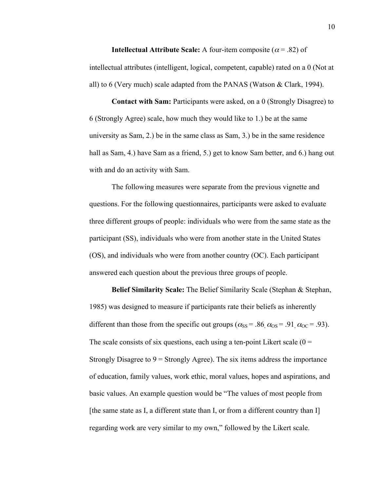**Intellectual Attribute Scale:** A four-item composite ( $\alpha$  = .82) of intellectual attributes (intelligent, logical, competent, capable) rated on a 0 (Not at all) to 6 (Very much) scale adapted from the PANAS (Watson  $\&$  Clark, 1994).

**Contact with Sam:** Participants were asked, on a 0 (Strongly Disagree) to 6 (Strongly Agree) scale, how much they would like to 1.) be at the same university as Sam, 2.) be in the same class as Sam, 3.) be in the same residence hall as Sam, 4.) have Sam as a friend, 5.) get to know Sam better, and 6.) hang out with and do an activity with Sam.

The following measures were separate from the previous vignette and questions. For the following questionnaires, participants were asked to evaluate three different groups of people: individuals who were from the same state as the participant (SS), individuals who were from another state in the United States (OS), and individuals who were from another country (OC). Each participant answered each question about the previous three groups of people.

**Belief Similarity Scale:** The Belief Similarity Scale (Stephan & Stephan, 1985) was designed to measure if participants rate their beliefs as inherently different than those from the specific out groups ( $\alpha_{SS}$  = .86,  $\alpha_{OS}$  = .91,  $\alpha_{OC}$  = .93). The scale consists of six questions, each using a ten-point Likert scale  $(0 =$ Strongly Disagree to  $9 =$  Strongly Agree). The six items address the importance of education, family values, work ethic, moral values, hopes and aspirations, and basic values. An example question would be "The values of most people from [the same state as I, a different state than I, or from a different country than I] regarding work are very similar to my own," followed by the Likert scale.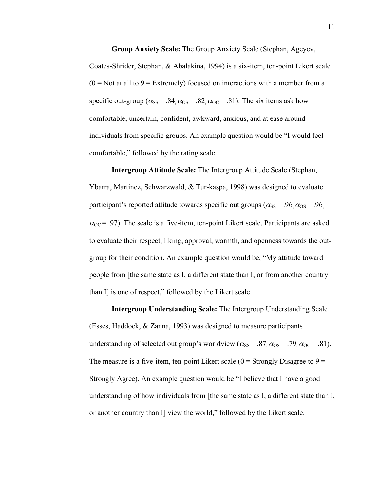**Group Anxiety Scale:** The Group Anxiety Scale (Stephan, Ageyev, Coates-Shrider, Stephan, & Abalakina, 1994) is a six-item, ten-point Likert scale  $(0 = Not at all to 9 = Extremely) focused on interactions with a member from a$ specific out-group ( $\alpha_{SS}$  = .84,  $\alpha_{OS}$  = .82,  $\alpha_{OC}$  = .81). The six items ask how comfortable, uncertain, confident, awkward, anxious, and at ease around individuals from specific groups. An example question would be "I would feel comfortable," followed by the rating scale.

**Intergroup Attitude Scale:** The Intergroup Attitude Scale (Stephan, Ybarra, Martinez, Schwarzwald, & Tur-kaspa, 1998) was designed to evaluate participant's reported attitude towards specific out groups ( $\alpha_{SS}$  = .96,  $\alpha_{OS}$  = .96,  $\alpha_{\text{OC}}$  = .97). The scale is a five-item, ten-point Likert scale. Participants are asked to evaluate their respect, liking, approval, warmth, and openness towards the outgroup for their condition. An example question would be, "My attitude toward people from [the same state as I, a different state than I, or from another country than I] is one of respect," followed by the Likert scale.

**Intergroup Understanding Scale:** The Intergroup Understanding Scale (Esses, Haddock, & Zanna, 1993) was designed to measure participants understanding of selected out group's worldview ( $\alpha_{SS}$  = .87,  $\alpha_{OS}$  = .79,  $\alpha_{OC}$  = .81). The measure is a five-item, ten-point Likert scale  $(0 =$  Strongly Disagree to  $9 =$ Strongly Agree). An example question would be "I believe that I have a good understanding of how individuals from [the same state as I, a different state than I, or another country than I] view the world," followed by the Likert scale.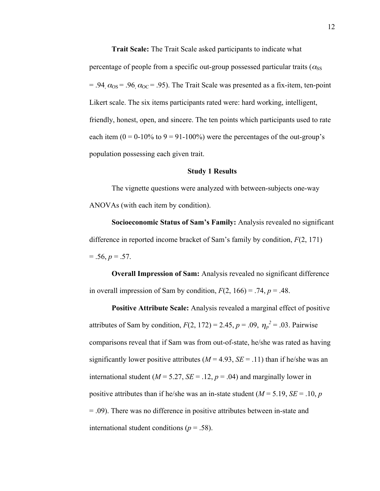**Trait Scale:** The Trait Scale asked participants to indicate what percentage of people from a specific out-group possessed particular traits ( $\alpha_{\rm SS}$ ) = .94,  $\alpha_{\text{OS}}$  = .96,  $\alpha_{\text{OC}}$  = .95). The Trait Scale was presented as a fix-item, ten-point Likert scale. The six items participants rated were: hard working, intelligent, friendly, honest, open, and sincere. The ten points which participants used to rate each item  $(0 = 0.10\%$  to  $9 = 91-100\%)$  were the percentages of the out-group's population possessing each given trait.

## **Study 1 Results**

The vignette questions were analyzed with between-subjects one-way ANOVAs (with each item by condition).

**Socioeconomic Status of Sam's Family:** Analysis revealed no significant difference in reported income bracket of Sam's family by condition, *F*(2, 171)  $= .56, p = .57.$ 

**Overall Impression of Sam:** Analysis revealed no significant difference in overall impression of Sam by condition,  $F(2, 166) = .74$ ,  $p = .48$ .

**Positive Attribute Scale:** Analysis revealed a marginal effect of positive attributes of Sam by condition,  $F(2, 172) = 2.45$ ,  $p = .09$ ,  $\eta_p^2 = .03$ . Pairwise significantly lower positive attributes  $(M = 4.93, SE = .11)$  than if he/she was an comparisons reveal that if Sam was from out-of-state, he/she was rated as having international student ( $M = 5.27$ ,  $SE = .12$ ,  $p = .04$ ) and marginally lower in positive attributes than if he/she was an in-state student  $(M = 5.19, SE = .10, p$ = .09). There was no difference in positive attributes between in-state and international student conditions ( $p = .58$ ).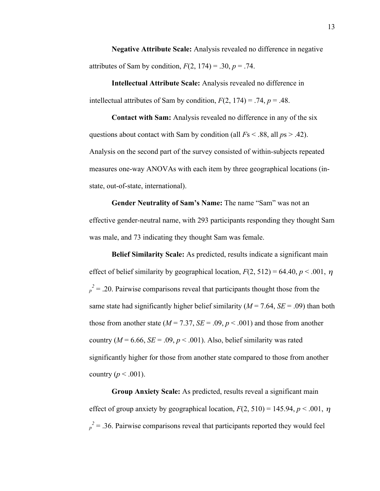**Negative Attribute Scale:** Analysis revealed no difference in negative attributes of Sam by condition,  $F(2, 174) = .30$ ,  $p = .74$ .

**Intellectual Attribute Scale:** Analysis revealed no difference in intellectual attributes of Sam by condition,  $F(2, 174) = .74$ ,  $p = .48$ .

**Contact with Sam:** Analysis revealed no difference in any of the six questions about contact with Sam by condition (all *F*s < .88, all *p*s > .42). Analysis on the second part of the survey consisted of within-subjects repeated measures one-way ANOVAs with each item by three geographical locations (instate, out-of-state, international).

**Gender Neutrality of Sam's Name:** The name "Sam" was not an effective gender-neutral name, with 293 participants responding they thought Sam was male, and 73 indicating they thought Sam was female.

**Belief Similarity Scale:** As predicted, results indicate a significant main effect of belief similarity by geographical location,  $F(2, 512) = 64.40, p < .001, \eta$ same state had significantly higher belief similarity ( $M = 7.64$ ,  $SE = .09$ ) than both  $p^2 = 0.20$ . Pairwise comparisons reveal that participants thought those from the those from another state ( $M = 7.37$ ,  $SE = .09$ ,  $p < .001$ ) and those from another country ( $M = 6.66$ ,  $SE = .09$ ,  $p < .001$ ). Also, belief similarity was rated significantly higher for those from another state compared to those from another country  $(p < .001)$ .

**Group Anxiety Scale:** As predicted, results reveal a significant main effect of group anxiety by geographical location,  $F(2, 510) = 145.94$ ,  $p < .001$ ,  $\eta$  $p^2 = 0.36$ . Pairwise comparisons reveal that participants reported they would feel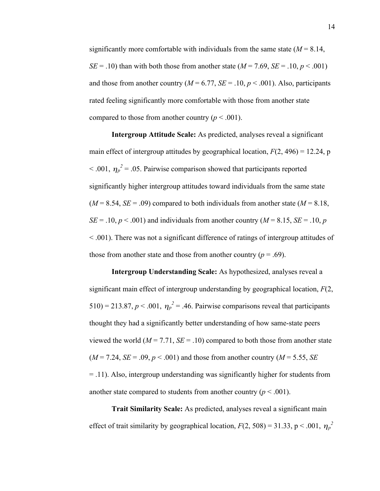significantly more comfortable with individuals from the same state  $(M = 8.14)$ , *SE* = .10) than with both those from another state ( $M = 7.69$ ,  $SE = .10$ ,  $p < .001$ ) and those from another country  $(M = 6.77, SE = .10, p < .001)$ . Also, participants rated feeling significantly more comfortable with those from another state compared to those from another country ( $p < .001$ ).

**Intergroup Attitude Scale:** As predicted, analyses reveal a significant main effect of intergroup attitudes by geographical location,  $F(2, 496) = 12.24$ , p  $< .001$ ,  $\eta_p^2 = .05$ . Pairwise comparison showed that participants reported significantly higher intergroup attitudes toward individuals from the same state  $(M = 8.54, SE = .09)$  compared to both individuals from another state  $(M = 8.18,$  $SE = .10$ ,  $p < .001$ ) and individuals from another country ( $M = 8.15$ ,  $SE = .10$ , *p* < .001). There was not a significant difference of ratings of intergroup attitudes of those from another state and those from another country  $(p = .69)$ .

**Intergroup Understanding Scale:** As hypothesized, analyses reveal a significant main effect of intergroup understanding by geographical location, *F*(2, 510) = 213.87,  $p < .001$ ,  $\eta_p^2 = .46$ . Pairwise comparisons reveal that participants viewed the world  $(M = 7.71, SE = .10)$  compared to both those from another state thought they had a significantly better understanding of how same-state peers  $(M = 7.24, SE = .09, p < .001)$  and those from another country  $(M = 5.55, SE)$ = .11). Also, intergroup understanding was significantly higher for students from another state compared to students from another country  $(p < .001)$ .

**Trait Similarity Scale:** As predicted, analyses reveal a significant main effect of trait similarity by geographical location,  $F(2, 508) = 31.33$ , p < .001,  $\eta_p^2$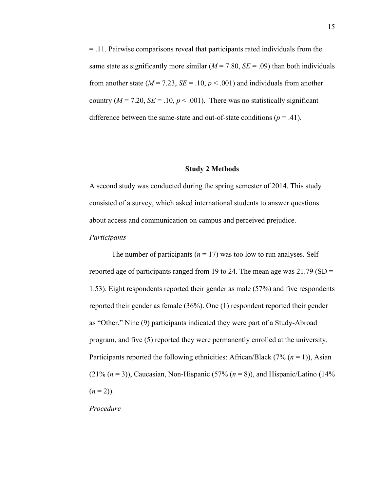= .11. Pairwise comparisons reveal that participants rated individuals from the same state as significantly more similar  $(M = 7.80, SE = .09)$  than both individuals from another state ( $M = 7.23$ ,  $SE = .10$ ,  $p < .001$ ) and individuals from another country ( $M = 7.20$ ,  $SE = .10$ ,  $p < .001$ ). There was no statistically significant difference between the same-state and out-of-state conditions ( $p = .41$ ).

#### **Study 2 Methods**

A second study was conducted during the spring semester of 2014. This study consisted of a survey, which asked international students to answer questions about access and communication on campus and perceived prejudice.

#### *Participants*

The number of participants ( $n = 17$ ) was too low to run analyses. Selfreported age of participants ranged from 19 to 24. The mean age was  $21.79$  (SD = 1.53). Eight respondents reported their gender as male (57%) and five respondents reported their gender as female (36%). One (1) respondent reported their gender as "Other." Nine (9) participants indicated they were part of a Study-Abroad program, and five (5) reported they were permanently enrolled at the university. Participants reported the following ethnicities: African/Black (7% (*n* = 1)), Asian (21%  $(n = 3)$ ), Caucasian, Non-Hispanic (57%  $(n = 8)$ ), and Hispanic/Latino (14%)  $(n=2)$ ).

*Procedure*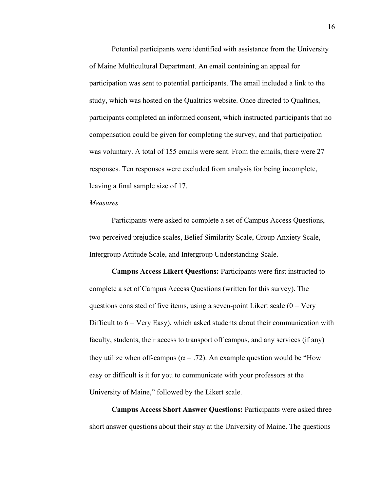Potential participants were identified with assistance from the University of Maine Multicultural Department. An email containing an appeal for participation was sent to potential participants. The email included a link to the study, which was hosted on the Qualtrics website. Once directed to Qualtrics, participants completed an informed consent, which instructed participants that no compensation could be given for completing the survey, and that participation was voluntary. A total of 155 emails were sent. From the emails, there were 27 responses. Ten responses were excluded from analysis for being incomplete, leaving a final sample size of 17.

### *Measures*

Participants were asked to complete a set of Campus Access Questions, two perceived prejudice scales, Belief Similarity Scale, Group Anxiety Scale, Intergroup Attitude Scale, and Intergroup Understanding Scale.

**Campus Access Likert Questions:** Participants were first instructed to complete a set of Campus Access Questions (written for this survey). The questions consisted of five items, using a seven-point Likert scale  $(0 = \text{Very})$ Difficult to  $6 = \text{Very Easy}$ , which asked students about their communication with faculty, students, their access to transport off campus, and any services (if any) they utilize when off-campus ( $\alpha$  = .72). An example question would be "How easy or difficult is it for you to communicate with your professors at the University of Maine," followed by the Likert scale.

**Campus Access Short Answer Questions:** Participants were asked three short answer questions about their stay at the University of Maine. The questions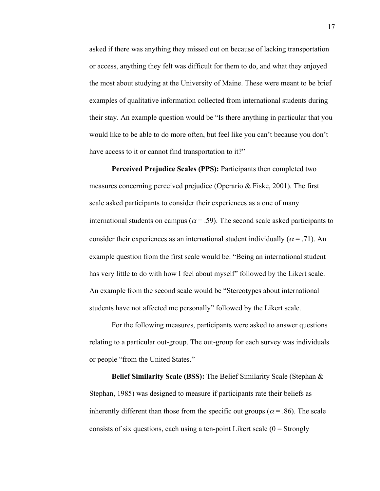asked if there was anything they missed out on because of lacking transportation or access, anything they felt was difficult for them to do, and what they enjoyed the most about studying at the University of Maine. These were meant to be brief examples of qualitative information collected from international students during their stay. An example question would be "Is there anything in particular that you would like to be able to do more often, but feel like you can't because you don't have access to it or cannot find transportation to it?"

**Perceived Prejudice Scales (PPS):** Participants then completed two measures concerning perceived prejudice (Operario & Fiske, 2001). The first scale asked participants to consider their experiences as a one of many international students on campus ( $\alpha$  = .59). The second scale asked participants to consider their experiences as an international student individually ( $\alpha$  = .71). An example question from the first scale would be: "Being an international student has very little to do with how I feel about myself" followed by the Likert scale. An example from the second scale would be "Stereotypes about international students have not affected me personally" followed by the Likert scale.

For the following measures, participants were asked to answer questions relating to a particular out-group. The out-group for each survey was individuals or people "from the United States."

**Belief Similarity Scale (BSS):** The Belief Similarity Scale (Stephan & Stephan, 1985) was designed to measure if participants rate their beliefs as inherently different than those from the specific out groups ( $\alpha$  = .86). The scale consists of six questions, each using a ten-point Likert scale  $(0 = \text{Strongly})$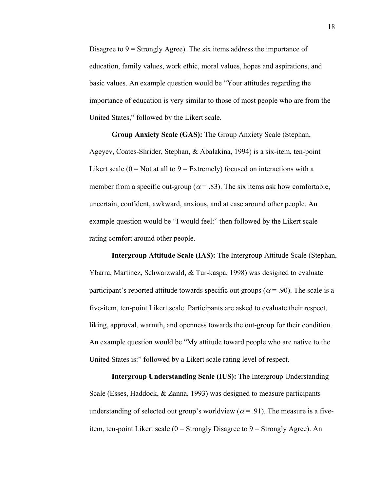Disagree to  $9 =$  Strongly Agree). The six items address the importance of education, family values, work ethic, moral values, hopes and aspirations, and basic values. An example question would be "Your attitudes regarding the importance of education is very similar to those of most people who are from the United States," followed by the Likert scale.

**Group Anxiety Scale (GAS):** The Group Anxiety Scale (Stephan, Ageyev, Coates-Shrider, Stephan, & Abalakina, 1994) is a six-item, ten-point Likert scale  $(0 = Not at all to 9 = Extremely)$  focused on interactions with a member from a specific out-group ( $\alpha$  = .83). The six items ask how comfortable, uncertain, confident, awkward, anxious, and at ease around other people. An example question would be "I would feel:" then followed by the Likert scale rating comfort around other people.

**Intergroup Attitude Scale (IAS):** The Intergroup Attitude Scale (Stephan, Ybarra, Martinez, Schwarzwald, & Tur-kaspa, 1998) was designed to evaluate participant's reported attitude towards specific out groups ( $\alpha$  = .90). The scale is a five-item, ten-point Likert scale. Participants are asked to evaluate their respect, liking, approval, warmth, and openness towards the out-group for their condition. An example question would be "My attitude toward people who are native to the United States is:" followed by a Likert scale rating level of respect.

**Intergroup Understanding Scale (IUS):** The Intergroup Understanding Scale (Esses, Haddock, & Zanna, 1993) was designed to measure participants understanding of selected out group's worldview ( $\alpha$  = .91). The measure is a fiveitem, ten-point Likert scale  $(0 = \text{Strongly Disagree to } 9 = \text{Strongly Argee}).$  An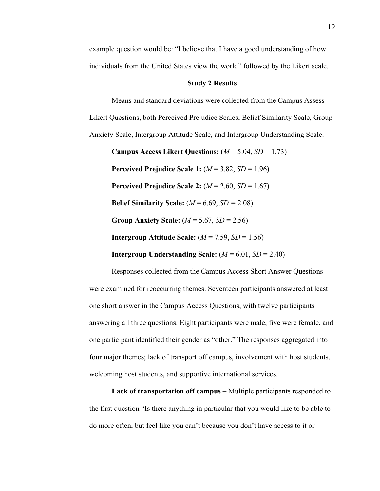example question would be: "I believe that I have a good understanding of how individuals from the United States view the world" followed by the Likert scale.

## **Study 2 Results**

Means and standard deviations were collected from the Campus Assess Likert Questions, both Perceived Prejudice Scales, Belief Similarity Scale, Group Anxiety Scale, Intergroup Attitude Scale, and Intergroup Understanding Scale.

**Campus Access Likert Questions:**  $(M = 5.04, SD = 1.73)$ **Perceived Prejudice Scale 1:** (*M* = 3.82, *SD* = 1.96) **Perceived Prejudice Scale 2:** (*M* = 2.60, *SD* = 1.67) **Belief Similarity Scale:**  $(M = 6.69, SD = 2.08)$ **Group Anxiety Scale:**  $(M = 5.67, SD = 2.56)$ **Intergroup Attitude Scale:**  $(M = 7.59, SD = 1.56)$ **Intergroup Understanding Scale:**  $(M = 6.01, SD = 2.40)$ 

Responses collected from the Campus Access Short Answer Questions were examined for reoccurring themes. Seventeen participants answered at least one short answer in the Campus Access Questions, with twelve participants answering all three questions. Eight participants were male, five were female, and one participant identified their gender as "other." The responses aggregated into four major themes; lack of transport off campus, involvement with host students, welcoming host students, and supportive international services.

**Lack of transportation off campus** – Multiple participants responded to the first question "Is there anything in particular that you would like to be able to do more often, but feel like you can't because you don't have access to it or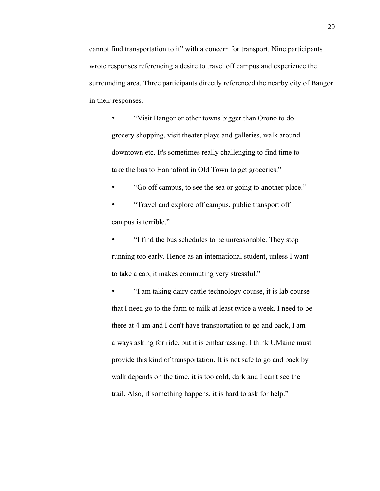cannot find transportation to it" with a concern for transport. Nine participants wrote responses referencing a desire to travel off campus and experience the surrounding area. Three participants directly referenced the nearby city of Bangor in their responses.

• "Visit Bangor or other towns bigger than Orono to do grocery shopping, visit theater plays and galleries, walk around downtown etc. It's sometimes really challenging to find time to take the bus to Hannaford in Old Town to get groceries."

• "Go off campus, to see the sea or going to another place."

• "Travel and explore off campus, public transport off campus is terrible."

• "I find the bus schedules to be unreasonable. They stop running too early. Hence as an international student, unless I want to take a cab, it makes commuting very stressful."

• "I am taking dairy cattle technology course, it is lab course that I need go to the farm to milk at least twice a week. I need to be there at 4 am and I don't have transportation to go and back, I am always asking for ride, but it is embarrassing. I think UMaine must provide this kind of transportation. It is not safe to go and back by walk depends on the time, it is too cold, dark and I can't see the trail. Also, if something happens, it is hard to ask for help."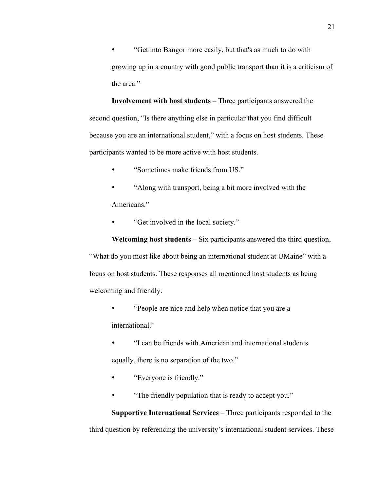• "Get into Bangor more easily, but that's as much to do with growing up in a country with good public transport than it is a criticism of the area."

**Involvement with host students** – Three participants answered the second question, "Is there anything else in particular that you find difficult because you are an international student," with a focus on host students. These participants wanted to be more active with host students.

- "Sometimes make friends from US."
- "Along with transport, being a bit more involved with the Americans."
- "Get involved in the local society."

**Welcoming host students** – Six participants answered the third question, "What do you most like about being an international student at UMaine" with a focus on host students. These responses all mentioned host students as being welcoming and friendly.

- "People are nice and help when notice that you are a international."
- "I can be friends with American and international students equally, there is no separation of the two."
- "Everyone is friendly."
- "The friendly population that is ready to accept you."

**Supportive International Services** – Three participants responded to the third question by referencing the university's international student services. These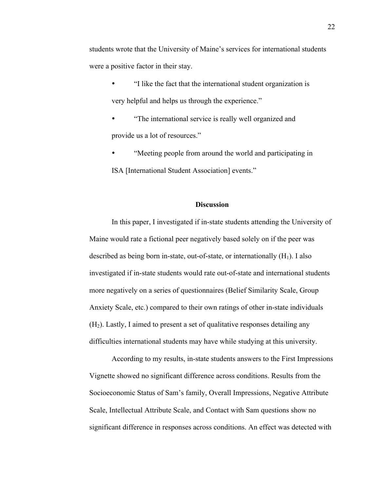students wrote that the University of Maine's services for international students were a positive factor in their stay.

- "I like the fact that the international student organization is very helpful and helps us through the experience."
- "The international service is really well organized and provide us a lot of resources."
- "Meeting people from around the world and participating in ISA [International Student Association] events."

## **Discussion**

In this paper, I investigated if in-state students attending the University of Maine would rate a fictional peer negatively based solely on if the peer was described as being born in-state, out-of-state, or internationally  $(H_1)$ . I also investigated if in-state students would rate out-of-state and international students more negatively on a series of questionnaires (Belief Similarity Scale, Group Anxiety Scale, etc.) compared to their own ratings of other in-state individuals  $(H<sub>2</sub>)$ . Lastly, I aimed to present a set of qualitative responses detailing any difficulties international students may have while studying at this university.

According to my results, in-state students answers to the First Impressions Vignette showed no significant difference across conditions. Results from the Socioeconomic Status of Sam's family, Overall Impressions, Negative Attribute Scale, Intellectual Attribute Scale, and Contact with Sam questions show no significant difference in responses across conditions. An effect was detected with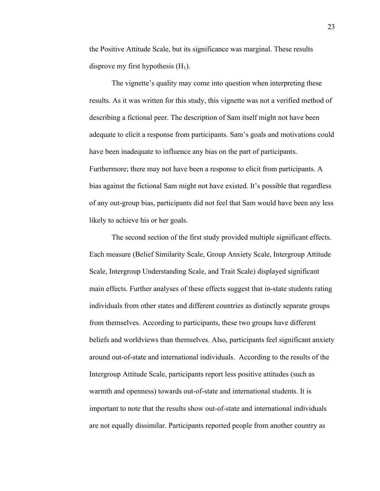the Positive Attitude Scale, but its significance was marginal. These results disprove my first hypothesis  $(H_1)$ .

The vignette's quality may come into question when interpreting these results. As it was written for this study, this vignette was not a verified method of describing a fictional peer. The description of Sam itself might not have been adequate to elicit a response from participants. Sam's goals and motivations could have been inadequate to influence any bias on the part of participants. Furthermore; there may not have been a response to elicit from participants. A bias against the fictional Sam might not have existed. It's possible that regardless of any out-group bias, participants did not feel that Sam would have been any less likely to achieve his or her goals.

The second section of the first study provided multiple significant effects. Each measure (Belief Similarity Scale, Group Anxiety Scale, Intergroup Attitude Scale, Intergroup Understanding Scale, and Trait Scale) displayed significant main effects. Further analyses of these effects suggest that in-state students rating individuals from other states and different countries as distinctly separate groups from themselves. According to participants, these two groups have different beliefs and worldviews than themselves. Also, participants feel significant anxiety around out-of-state and international individuals. According to the results of the Intergroup Attitude Scale, participants report less positive attitudes (such as warmth and openness) towards out-of-state and international students. It is important to note that the results show out-of-state and international individuals are not equally dissimilar. Participants reported people from another country as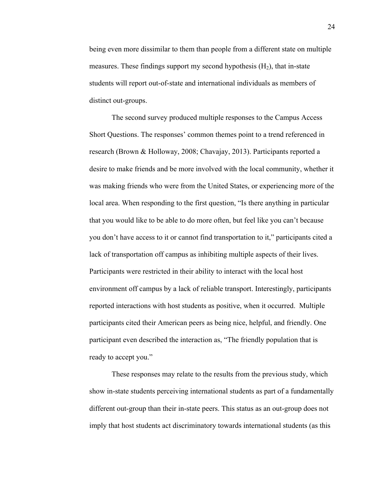being even more dissimilar to them than people from a different state on multiple measures. These findings support my second hypothesis  $(H_2)$ , that in-state students will report out-of-state and international individuals as members of distinct out-groups.

The second survey produced multiple responses to the Campus Access Short Questions. The responses' common themes point to a trend referenced in research (Brown & Holloway, 2008; Chavajay, 2013). Participants reported a desire to make friends and be more involved with the local community, whether it was making friends who were from the United States, or experiencing more of the local area. When responding to the first question, "Is there anything in particular that you would like to be able to do more often, but feel like you can't because you don't have access to it or cannot find transportation to it," participants cited a lack of transportation off campus as inhibiting multiple aspects of their lives. Participants were restricted in their ability to interact with the local host environment off campus by a lack of reliable transport. Interestingly, participants reported interactions with host students as positive, when it occurred. Multiple participants cited their American peers as being nice, helpful, and friendly. One participant even described the interaction as, "The friendly population that is ready to accept you."

These responses may relate to the results from the previous study, which show in-state students perceiving international students as part of a fundamentally different out-group than their in-state peers. This status as an out-group does not imply that host students act discriminatory towards international students (as this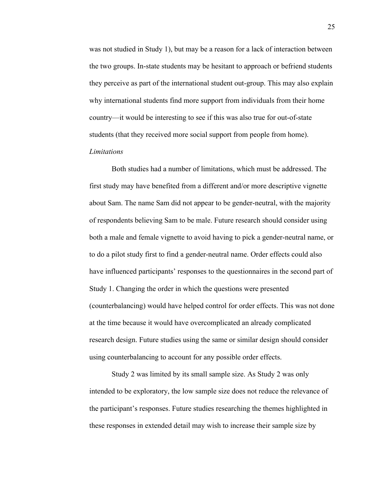was not studied in Study 1), but may be a reason for a lack of interaction between the two groups. In-state students may be hesitant to approach or befriend students they perceive as part of the international student out-group. This may also explain why international students find more support from individuals from their home country—it would be interesting to see if this was also true for out-of-state students (that they received more social support from people from home).

# *Limitations*

Both studies had a number of limitations, which must be addressed. The first study may have benefited from a different and/or more descriptive vignette about Sam. The name Sam did not appear to be gender-neutral, with the majority of respondents believing Sam to be male. Future research should consider using both a male and female vignette to avoid having to pick a gender-neutral name, or to do a pilot study first to find a gender-neutral name. Order effects could also have influenced participants' responses to the questionnaires in the second part of Study 1. Changing the order in which the questions were presented (counterbalancing) would have helped control for order effects. This was not done at the time because it would have overcomplicated an already complicated research design. Future studies using the same or similar design should consider using counterbalancing to account for any possible order effects.

Study 2 was limited by its small sample size. As Study 2 was only intended to be exploratory, the low sample size does not reduce the relevance of the participant's responses. Future studies researching the themes highlighted in these responses in extended detail may wish to increase their sample size by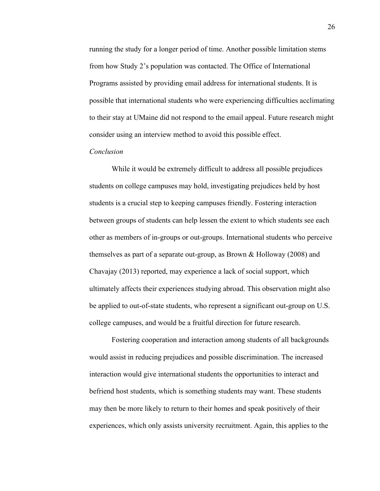running the study for a longer period of time. Another possible limitation stems from how Study 2's population was contacted. The Office of International Programs assisted by providing email address for international students. It is possible that international students who were experiencing difficulties acclimating to their stay at UMaine did not respond to the email appeal. Future research might consider using an interview method to avoid this possible effect.

## *Conclusion*

While it would be extremely difficult to address all possible prejudices students on college campuses may hold, investigating prejudices held by host students is a crucial step to keeping campuses friendly. Fostering interaction between groups of students can help lessen the extent to which students see each other as members of in-groups or out-groups. International students who perceive themselves as part of a separate out-group, as Brown & Holloway (2008) and Chavajay (2013) reported, may experience a lack of social support, which ultimately affects their experiences studying abroad. This observation might also be applied to out-of-state students, who represent a significant out-group on U.S. college campuses, and would be a fruitful direction for future research.

Fostering cooperation and interaction among students of all backgrounds would assist in reducing prejudices and possible discrimination. The increased interaction would give international students the opportunities to interact and befriend host students, which is something students may want. These students may then be more likely to return to their homes and speak positively of their experiences, which only assists university recruitment. Again, this applies to the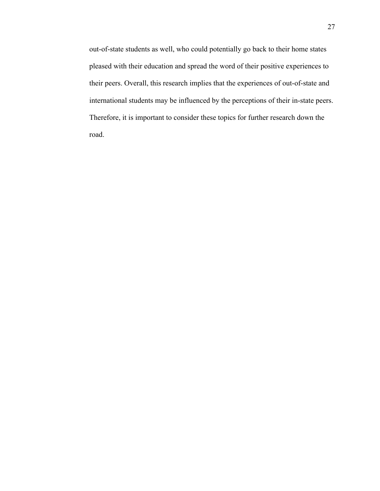out-of-state students as well, who could potentially go back to their home states pleased with their education and spread the word of their positive experiences to their peers. Overall, this research implies that the experiences of out-of-state and international students may be influenced by the perceptions of their in-state peers. Therefore, it is important to consider these topics for further research down the road.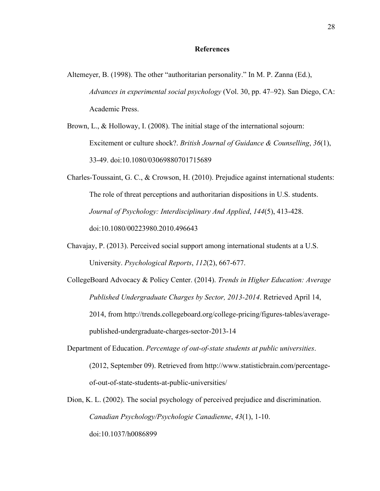## **References**

- Altemeyer, B. (1998). The other "authoritarian personality." In M. P. Zanna (Ed.), *Advances in experimental social psychology* (Vol. 30, pp. 47–92). San Diego, CA: Academic Press.
- Brown, L., & Holloway, I. (2008). The initial stage of the international sojourn: Excitement or culture shock?. *British Journal of Guidance & Counselling*, *36*(1), 33-49. doi:10.1080/03069880701715689
- Charles-Toussaint, G. C., & Crowson, H. (2010). Prejudice against international students: The role of threat perceptions and authoritarian dispositions in U.S. students. *Journal of Psychology: Interdisciplinary And Applied*, *144*(5), 413-428. doi:10.1080/00223980.2010.496643
- Chavajay, P. (2013). Perceived social support among international students at a U.S. University. *Psychological Reports*, *112*(2), 667-677.
- CollegeBoard Advocacy & Policy Center. (2014). *Trends in Higher Education: Average Published Undergraduate Charges by Sector, 2013-2014*. Retrieved April 14, 2014, from http://trends.collegeboard.org/college-pricing/figures-tables/averagepublished-undergraduate-charges-sector-2013-14
- Department of Education. *Percentage of out-of-state students at public universities*. (2012, September 09). Retrieved from http://www.statisticbrain.com/percentageof-out-of-state-students-at-public-universities/
- Dion, K. L. (2002). The social psychology of perceived prejudice and discrimination. *Canadian Psychology/Psychologie Canadienne*, *43*(1), 1-10. doi:10.1037/h0086899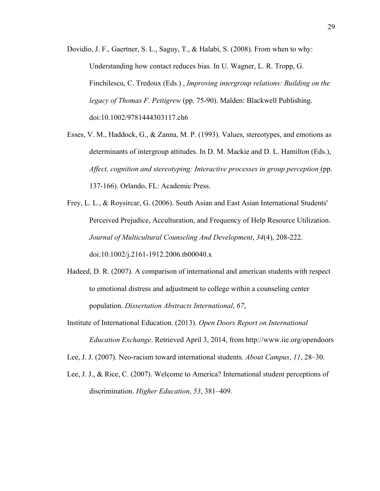- Dovidio, J. F., Gaertner, S. L., Saguy, T., & Halabi, S. (2008). From when to why: Understanding how contact reduces bias. In U. Wagner, L. R. Tropp, G. Finchilescu, C. Tredoux (Eds.) , *Improving intergroup relations: Building on the legacy of Thomas F. Pettigrew* (pp. 75-90). Malden: Blackwell Publishing. doi:10.1002/9781444303117.ch6
- Esses, V. M., Haddock, G., & Zanna, M. P. (1993). Values, stereotypes, and emotions as determinants of intergroup attitudes. In D. M. Mackie and D. L. Hamilton (Eds.), *Affect, cognition and stereotyping: Interactive processes in group perception* (pp. 137-166). Orlando, FL: Academic Press.
- Frey, L. L., & Roysircar, G. (2006). South Asian and East Asian International Students' Perceived Prejudice, Acculturation, and Frequency of Help Resource Utilization. *Journal of Multicultural Counseling And Development*, *34*(4), 208-222. doi:10.1002/j.2161-1912.2006.tb00040.x
- Hadeed, D. R. (2007). A comparison of international and american students with respect to emotional distress and adjustment to college within a counseling center population. *Dissertation Abstracts International*, *67*,
- Institute of International Education. (2013). *Open Doors Report on International Education Exchange*. Retrieved April 3, 2014, from http://www.iie.org/opendoors

Lee, J. J. (2007). Neo-racism toward international students. *About Campus*, *11*, 28–30.

Lee, J. J., & Rice, C. (2007). Welcome to America? International student perceptions of discrimination. *Higher Education*, *53*, 381–409.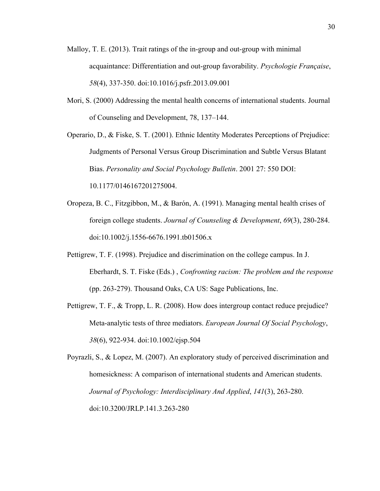- Malloy, T. E. (2013). Trait ratings of the in-group and out-group with minimal acquaintance: Differentiation and out-group favorability. *Psychologie Française*, *58*(4), 337-350. doi:10.1016/j.psfr.2013.09.001
- Mori, S. (2000) Addressing the mental health concerns of international students. Journal of Counseling and Development, 78, 137–144.
- Operario, D., & Fiske, S. T. (2001). Ethnic Identity Moderates Perceptions of Prejudice: Judgments of Personal Versus Group Discrimination and Subtle Versus Blatant Bias. *Personality and Social Psychology Bulletin*. 2001 27: 550 DOI: 10.1177/0146167201275004.
- Oropeza, B. C., Fitzgibbon, M., & Barón, A. (1991). Managing mental health crises of foreign college students. *Journal of Counseling & Development*, *69*(3), 280-284. doi:10.1002/j.1556-6676.1991.tb01506.x
- Pettigrew, T. F. (1998). Prejudice and discrimination on the college campus. In J. Eberhardt, S. T. Fiske (Eds.) , *Confronting racism: The problem and the response* (pp. 263-279). Thousand Oaks, CA US: Sage Publications, Inc.
- Pettigrew, T. F., & Tropp, L. R. (2008). How does intergroup contact reduce prejudice? Meta-analytic tests of three mediators. *European Journal Of Social Psychology*, *38*(6), 922-934. doi:10.1002/ejsp.504

Poyrazli, S., & Lopez, M. (2007). An exploratory study of perceived discrimination and homesickness: A comparison of international students and American students. *Journal of Psychology: Interdisciplinary And Applied*, *141*(3), 263-280. doi:10.3200/JRLP.141.3.263-280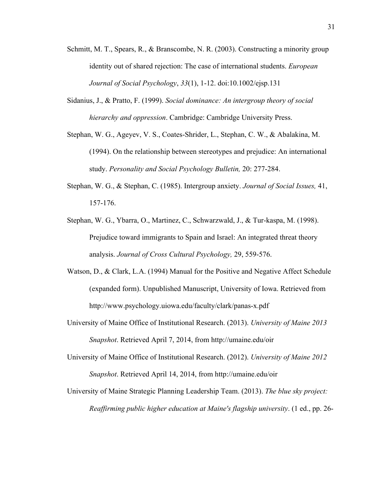- Schmitt, M. T., Spears, R., & Branscombe, N. R. (2003). Constructing a minority group identity out of shared rejection: The case of international students. *European Journal of Social Psychology*, *33*(1), 1-12. doi:10.1002/ejsp.131
- Sidanius, J., & Pratto, F. (1999). *Social dominance: An intergroup theory of social hierarchy and oppression*. Cambridge: Cambridge University Press.
- Stephan, W. G., Ageyev, V. S., Coates-Shrider, L., Stephan, C. W., & Abalakina, M. (1994). On the relationship between stereotypes and prejudice: An international study. *Personality and Social Psychology Bulletin,* 20: 277-284.
- Stephan, W. G., & Stephan, C. (1985). Intergroup anxiety. *Journal of Social Issues,* 41, 157-176.
- Stephan, W. G., Ybarra, O., Martinez, C., Schwarzwald, J., & Tur-kaspa, M. (1998). Prejudice toward immigrants to Spain and Israel: An integrated threat theory analysis. *Journal of Cross Cultural Psychology,* 29, 559-576.
- Watson, D., & Clark, L.A. (1994) Manual for the Positive and Negative Affect Schedule (expanded form). Unpublished Manuscript, University of Iowa. Retrieved from http://www.psychology.uiowa.edu/faculty/clark/panas-x.pdf
- University of Maine Office of Institutional Research. (2013). *University of Maine 2013 Snapshot*. Retrieved April 7, 2014, from http://umaine.edu/oir
- University of Maine Office of Institutional Research. (2012). *University of Maine 2012 Snapshot*. Retrieved April 14, 2014, from http://umaine.edu/oir
- University of Maine Strategic Planning Leadership Team. (2013). *The blue sky project: Reaffirming public higher education at Maine's flagship university*. (1 ed., pp. 26-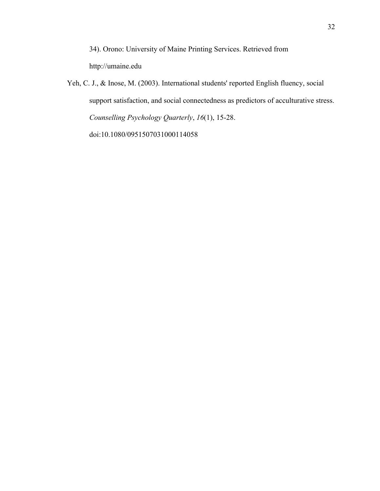34). Orono: University of Maine Printing Services. Retrieved from http://umaine.edu

Yeh, C. J., & Inose, M. (2003). International students' reported English fluency, social support satisfaction, and social connectedness as predictors of acculturative stress. *Counselling Psychology Quarterly*, *16*(1), 15-28.

doi:10.1080/0951507031000114058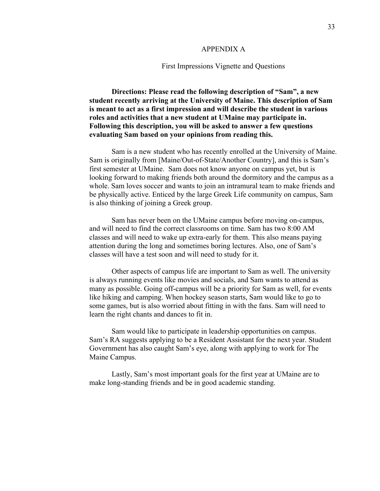#### APPENDIX A

#### First Impressions Vignette and Questions

**Directions: Please read the following description of "Sam", a new student recently arriving at the University of Maine. This description of Sam is meant to act as a first impression and will describe the student in various roles and activities that a new student at UMaine may participate in. Following this description, you will be asked to answer a few questions evaluating Sam based on your opinions from reading this.**

Sam is a new student who has recently enrolled at the University of Maine. Sam is originally from [Maine/Out-of-State/Another Country], and this is Sam's first semester at UMaine. Sam does not know anyone on campus yet, but is looking forward to making friends both around the dormitory and the campus as a whole. Sam loves soccer and wants to join an intramural team to make friends and be physically active. Enticed by the large Greek Life community on campus, Sam is also thinking of joining a Greek group.

Sam has never been on the UMaine campus before moving on-campus, and will need to find the correct classrooms on time. Sam has two 8:00 AM classes and will need to wake up extra-early for them. This also means paying attention during the long and sometimes boring lectures. Also, one of Sam's classes will have a test soon and will need to study for it.

Other aspects of campus life are important to Sam as well. The university is always running events like movies and socials, and Sam wants to attend as many as possible. Going off-campus will be a priority for Sam as well, for events like hiking and camping. When hockey season starts, Sam would like to go to some games, but is also worried about fitting in with the fans. Sam will need to learn the right chants and dances to fit in.

Sam would like to participate in leadership opportunities on campus. Sam's RA suggests applying to be a Resident Assistant for the next year. Student Government has also caught Sam's eye, along with applying to work for The Maine Campus.

Lastly, Sam's most important goals for the first year at UMaine are to make long-standing friends and be in good academic standing.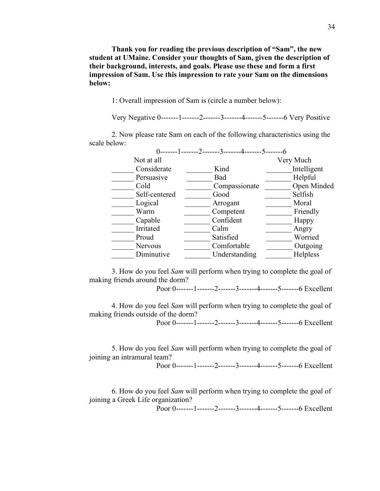**Thank you for reading the previous description of "Sam", the new student at UMaine. Consider your thoughts of Sam, given the description of their background, interests, and goals. Please use these and form a first impression of Sam. Use this impression to rate your Sam on the dimensions below:**

1: Overall impression of Sam is (circle a number below):

Very Negative 0-------1-------2-------3-------4-------5-------6 Very Positive

2. Now please rate Sam on each of the following characteristics using the scale below:

| ------1-------2-------3-------4-------5------- |             |
|------------------------------------------------|-------------|
|                                                | Very Much   |
| Kind                                           | Intelligent |
| Bad                                            | Helpful     |
| Compassionate                                  | Open Minded |
| Good                                           | Selfish     |
| Arrogant                                       | Moral       |
| Competent                                      | Friendly    |
| Confident                                      | Happy       |
| Calm                                           | Angry       |
| Satisfied                                      | Worried     |
| Comfortable                                    | Outgoing    |
| Understanding                                  | Helpless    |
|                                                |             |

3. How do you feel *Sam* will perform when trying to complete the goal of making friends around the dorm?

Poor 0-------1-------2-------3-------4-------5-------6 Excellent

4. How do you feel *Sam* will perform when trying to complete the goal of making friends outside of the dorm? Poor 0-------1-------2-------3-------4-------5--------6 Excellent

5. How do you feel *Sam* will perform when trying to complete the goal of joining an intramural team? Poor 0-------1-------2-------3-------4-------5-------6 Excellent

6. How do you feel *Sam* will perform when trying to complete the goal of joining a Greek Life organization?

Poor 0-------1-------2-------3-------4-------5--------6 Excellent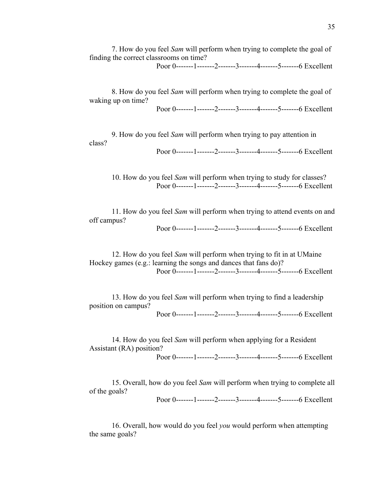7. How do you feel *Sam* will perform when trying to complete the goal of finding the correct classrooms on time?

Poor 0-------1-------2-------3-------4-------5--------6 Excellent

8. How do you feel *Sam* will perform when trying to complete the goal of waking up on time?

Poor 0-------1-------2-------3-------4-------5-------6 Excellent

9. How do you feel *Sam* will perform when trying to pay attention in class?

Poor 0-------1-------2-------3-------4-------5-------6 Excellent

10. How do you feel *Sam* will perform when trying to study for classes? Poor 0-------1-------2-------3-------4-------5-------6 Excellent

11. How do you feel *Sam* will perform when trying to attend events on and off campus?

Poor 0-------1-------2-------3-------4-------5-------6 Excellent

12. How do you feel *Sam* will perform when trying to fit in at UMaine Hockey games (e.g.: learning the songs and dances that fans do)? Poor 0-------1-------2-------3-------4-------5-------6 Excellent

13. How do you feel *Sam* will perform when trying to find a leadership position on campus?

Poor 0-------1-------2-------3-------4-------5-------6 Excellent

14. How do you feel *Sam* will perform when applying for a Resident Assistant (RA) position? Poor 0-------1-------2-------3-------4-------5-------6 Excellent

15. Overall, how do you feel *Sam* will perform when trying to complete all of the goals?

Poor 0-------1-------2-------3-------4-------5-------6 Excellent

16. Overall, how would do you feel *you* would perform when attempting the same goals?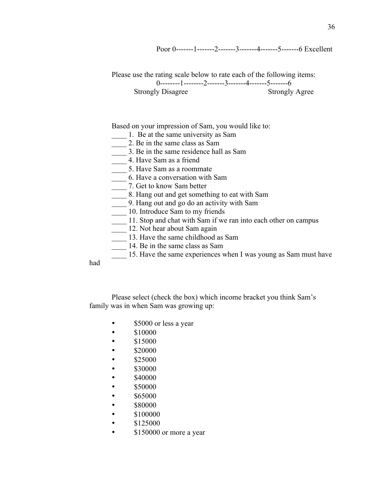Poor 0-------1-------2-------3-------4-------5--------6 Excellent

Please use the rating scale below to rate each of the following items:  $0$ --------1--------2-------3-------4-------5---------6 Strongly Disagree Strongly Agree

Based on your impression of Sam, you would like to:

- 1. Be at the same university as Sam
- 2. Be in the same class as Sam
- \_\_\_\_ 3. Be in the same residence hall as Sam
	- \_\_\_\_ 4. Have Sam as a friend
- \_\_\_\_ 5. Have Sam as a roommate
- \_\_\_\_ 6. Have a conversation with Sam
- \_\_\_\_ 7. Get to know Sam better
- \_\_\_\_ 8. Hang out and get something to eat with Sam
- \_\_\_\_ 9. Hang out and go do an activity with Sam
- **10.** Introduce Sam to my friends
- 11. Stop and chat with Sam if we ran into each other on campus
- \_\_\_\_ 12. Not hear about Sam again
- 13. Have the same childhood as Sam
- 14. Be in the same class as Sam
- \_\_\_\_ 15. Have the same experiences when I was young as Sam must have

had

Please select (check the box) which income bracket you think Sam's family was in when Sam was growing up:

- \$5000 or less a year
- \$10000
- \$15000
- \$20000
- \$25000
- \$30000
- \$40000
- \$50000
- $$65000$
- \$80000
- 
- \$100000
- \$125000
- \$150000 or more a year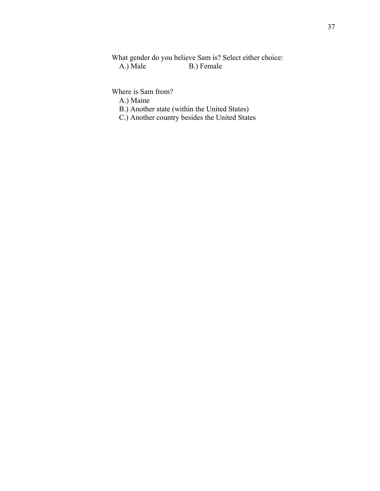What gender do you believe Sam is? Select either choice:<br>A.) Male B.) Female B.) Female

Where is Sam from?

A.) Maine

- B.) Another state (within the United States)
- C.) Another country besides the United States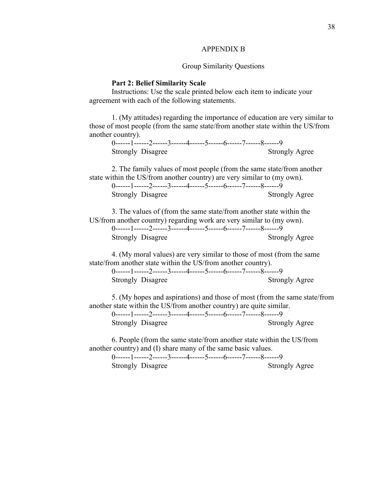## APPENDIX B

## Group Similarity Questions

## **Part 2: Belief Similarity Scale**

Instructions: Use the scale printed below each item to indicate your agreement with each of the following statements.

1. (My attitudes) regarding the importance of education are very similar to those of most people (from the same state/from another state within the US/from another country).

|                          |  | 0------1-------2------3-------4------5------6------7------8------9 |                       |  |
|--------------------------|--|--------------------------------------------------------------------|-----------------------|--|
| <b>Strongly Disagree</b> |  |                                                                    | <b>Strongly Agree</b> |  |

2. The family values of most people (from the same state/from another state within the US/from another country) are very similar to (my own).

| 0------1------2------3------4------5------6------7------8------9 |                       |  |
|------------------------------------------------------------------|-----------------------|--|
| <b>Strongly Disagree</b>                                         | <b>Strongly Agree</b> |  |

3. The values of (from the same state/from another state within the US/from another country) regarding work are very similar to (my own). 0------1------2------3------4------5------6------7------8------9 Strongly Disagree Strongly Agree

4. (My moral values) are very similar to those of most (from the same state/from another state within the US/from another country).

0------1------2------3------4------5------6------7------8------9 Strongly Disagree Strongly Agree

5. (My hopes and aspirations) and those of most (from the same state/from another state within the US/from another country) are quite similar. 0------1------2------3------4------5------6------7------8------9 Strongly Disagree Strongly Agree

6. People (from the same state/from another state within the US/from another country) and (I) share many of the same basic values.

0------1------2------3------4------5------6------7------8------9 Strongly Disagree Strongly Agree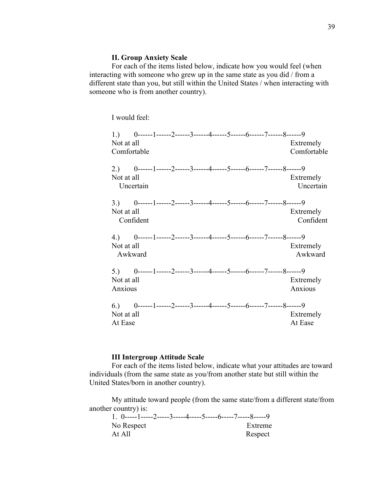## **II. Group Anxiety Scale**

For each of the items listed below, indicate how you would feel (when interacting with someone who grew up in the same state as you did / from a different state than you, but still within the United States / when interacting with someone who is from another country).

I would feel:

| 1.)<br>Not at all<br>Comfortable | 0------1------2------3------4------5------6------7------8------9                     |  |  |  | Extremely<br>Comfortable |
|----------------------------------|--------------------------------------------------------------------------------------|--|--|--|--------------------------|
| 2.)<br>Not at all                | 0------1------2------3------4------5------6------7------8------9<br>Uncertain        |  |  |  | Extremely<br>Uncertain   |
| Not at all                       | 3.) $0$ ------1------2------3------4------5------6------7------8------9<br>Confident |  |  |  | Extremely<br>Confident   |
| Not at all<br>Awkward            | 4.) $0$ ------1------2------3------4------5------6------7------8------9              |  |  |  | Extremely<br>Awkward     |
| 5.<br>Not at all<br>Anxious      | 0------1------2------3------4------5------6------7------8------9                     |  |  |  | Extremely<br>Anxious     |
| 6.)<br>Not at all<br>At Ease     | 0------1------2------3------4------5------6------7------8------9                     |  |  |  | Extremely<br>At Ease     |

## **III Intergroup Attitude Scale**

For each of the items listed below, indicate what your attitudes are toward individuals (from the same state as you/from another state but still within the United States/born in another country).

My attitude toward people (from the same state/from a different state/from another country) is:

| 1 ()-----1-----2-----3-----4-----5-----6-----7-----8-----9 |         |
|------------------------------------------------------------|---------|
| No Respect                                                 | Extreme |
| At All                                                     | Respect |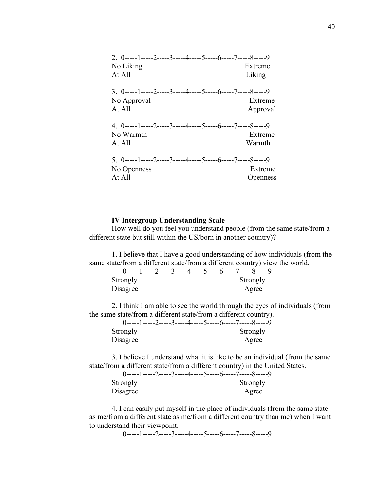| 2. 0-----1-----2-----3-----4-----5-----6-----7-----8-----9<br>No Liking<br>At All      | Extreme<br>Liking   |
|----------------------------------------------------------------------------------------|---------------------|
| $3.0$ -----1-----2-----3-----4-----5-----6-----7-----8-----9<br>No Approval<br>At All  | Extreme<br>Approval |
| 4. 0-----1-----2-----3-----4-----5-----6-----7-----8-----9<br>No Warmth<br>At All      | Extreme<br>Warmth   |
| 5. $0$ -----1-----2-----3-----4-----5-----6-----7-----8-----9<br>No Openness<br>At All | Extreme<br>Openness |

#### **IV Intergroup Understanding Scale**

How well do you feel you understand people (from the same state/from a different state but still within the US/born in another country)?

1. I believe that I have a good understanding of how individuals (from the same state/from a different state/from a different country) view the world.

|          | $0$ -----1-----2-----3-----4-----5-----6-----7-----8-----9 |
|----------|------------------------------------------------------------|
| Strongly | Strongly                                                   |
| Disagree | Agree                                                      |

2. I think I am able to see the world through the eyes of individuals (from the same state/from a different state/from a different country).

|          | 0-----1-----2-----3-----4-----5-----6-----7-----8-----9 |
|----------|---------------------------------------------------------|
| Strongly | Strongly                                                |
| Disagree | Agree                                                   |

3. I believe I understand what it is like to be an individual (from the same state/from a different state/from a different country) in the United States.

| Strongly |  |  |  | Strongly |  |
|----------|--|--|--|----------|--|
| Disagree |  |  |  | Agree    |  |

4. I can easily put myself in the place of individuals (from the same state as me/from a different state as me/from a different country than me) when I want to understand their viewpoint.

0-----1-----2-----3-----4-----5-----6-----7-----8-----9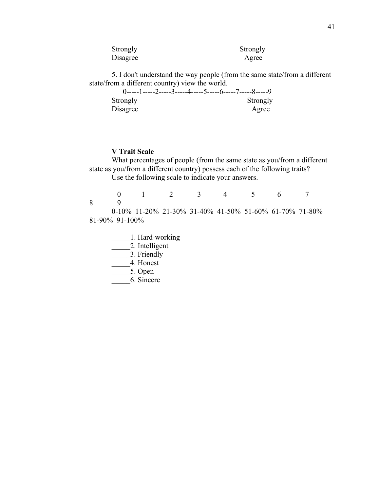| Strongly | Strongly |
|----------|----------|
| Disagree | Agree    |

5. I don't understand the way people (from the same state/from a different state/from a different country) view the world.

|          | $0$ -----1-----2-----3-----4-----5-----6-----7-----8-----9 |
|----------|------------------------------------------------------------|
| Strongly | Strongly                                                   |
| Disagree | Agree                                                      |

# **V Trait Scale**

What percentages of people (from the same state as you/from a different state as you/from a different country) possess each of the following traits? Use the following scale to indicate your answers.

 0 1 2 3 4 5 6 7 8 9 0-10% 11-20% 21-30% 31-40% 41-50% 51-60% 61-70% 71-80% 81-90% 91-100%

- 1. Hard-working
- $\overline{\phantom{a}}$  2. Intelligent
- 3. Friendly
- \_\_\_\_\_4. Honest
- $\overline{5}$ . Open
- \_\_\_\_\_6. Sincere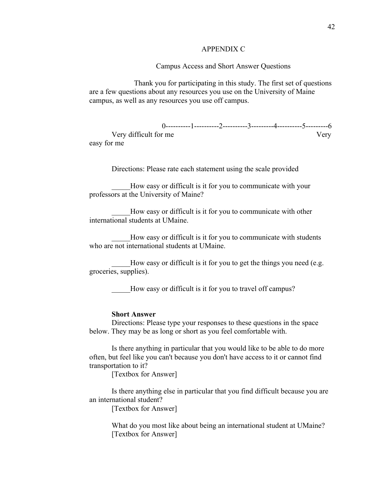## APPENDIX C

## Campus Access and Short Answer Questions

Thank you for participating in this study. The first set of questions are a few questions about any resources you use on the University of Maine campus, as well as any resources you use off campus.

 0----------1----------2----------3---------4----------5---------6 Very difficult for me Very easy for me

Directions: Please rate each statement using the scale provided

How easy or difficult is it for you to communicate with your professors at the University of Maine?

How easy or difficult is it for you to communicate with other international students at UMaine.

How easy or difficult is it for you to communicate with students who are not international students at UMaine.

How easy or difficult is it for you to get the things you need (e.g. groceries, supplies).

How easy or difficult is it for you to travel off campus?

## **Short Answer**

Directions: Please type your responses to these questions in the space below. They may be as long or short as you feel comfortable with.

Is there anything in particular that you would like to be able to do more often, but feel like you can't because you don't have access to it or cannot find transportation to it?

[Textbox for Answer]

Is there anything else in particular that you find difficult because you are an international student?

[Textbox for Answer]

What do you most like about being an international student at UMaine? [Textbox for Answer]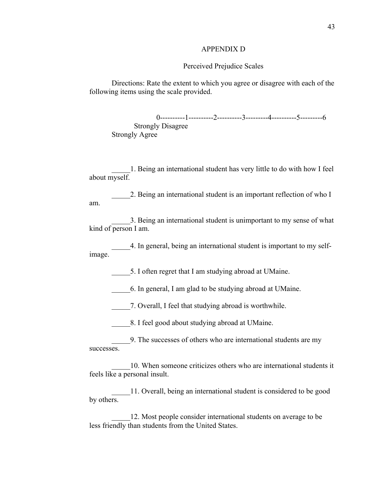#### APPENDIX D

## Perceived Prejudice Scales

Directions: Rate the extent to which you agree or disagree with each of the following items using the scale provided.

0----------1----------2----------3---------4----------5---------6 Strongly Disagree Strongly Agree

\_\_\_\_\_1. Being an international student has very little to do with how I feel about myself.

2. Being an international student is an important reflection of who I am.

\_\_\_\_\_3. Being an international student is unimportant to my sense of what kind of person I am.

\_\_\_\_\_4. In general, being an international student is important to my selfimage.

5. I often regret that I am studying abroad at UMaine.

\_\_\_\_\_6. In general, I am glad to be studying abroad at UMaine.

7. Overall, I feel that studying abroad is worthwhile.

\_\_\_\_\_8. I feel good about studying abroad at UMaine.

\_\_\_\_\_9. The successes of others who are international students are my successes.

\_\_\_\_\_10. When someone criticizes others who are international students it feels like a personal insult.

\_\_\_\_\_11. Overall, being an international student is considered to be good by others.

12. Most people consider international students on average to be less friendly than students from the United States.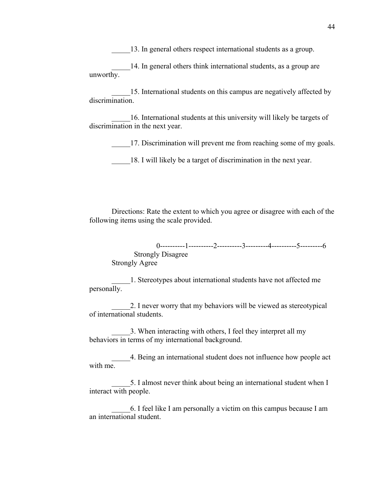13. In general others respect international students as a group.

14. In general others think international students, as a group are unworthy.

15. International students on this campus are negatively affected by discrimination.

\_\_\_\_\_16. International students at this university will likely be targets of discrimination in the next year.

17. Discrimination will prevent me from reaching some of my goals.

18. I will likely be a target of discrimination in the next year.

Directions: Rate the extent to which you agree or disagree with each of the following items using the scale provided.

0----------1----------2----------3---------4----------5---------6 Strongly Disagree Strongly Agree

\_\_\_\_\_1. Stereotypes about international students have not affected me personally.

2. I never worry that my behaviors will be viewed as stereotypical of international students.

\_\_\_\_\_3. When interacting with others, I feel they interpret all my behaviors in terms of my international background.

\_\_\_\_\_4. Being an international student does not influence how people act with me.

5. I almost never think about being an international student when I interact with people.

\_\_\_\_\_6. I feel like I am personally a victim on this campus because I am an international student.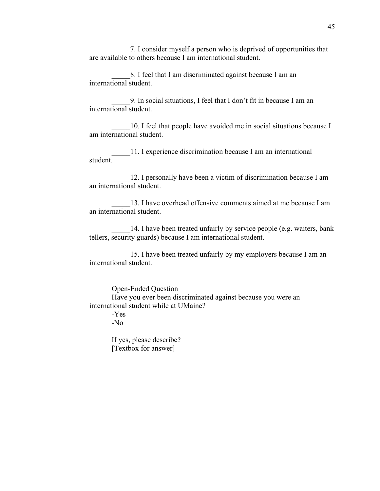\_\_\_\_\_7. I consider myself a person who is deprived of opportunities that are available to others because I am international student.

8. I feel that I am discriminated against because I am an international student.

\_\_\_\_\_9. In social situations, I feel that I don't fit in because I am an international student.

10. I feel that people have avoided me in social situations because I am international student.

\_\_\_\_\_11. I experience discrimination because I am an international student.

\_\_\_\_\_12. I personally have been a victim of discrimination because I am an international student.

13. I have overhead offensive comments aimed at me because I am an international student.

14. I have been treated unfairly by service people (e.g. waiters, bank tellers, security guards) because I am international student.

15. I have been treated unfairly by my employers because I am an international student.

Open-Ended Question

Have you ever been discriminated against because you were an international student while at UMaine?

-Yes

-No

If yes, please describe? [Textbox for answer]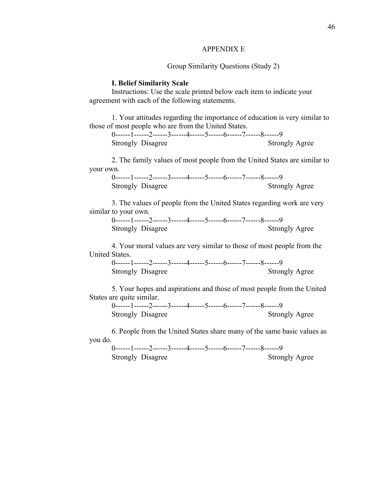#### APPENDIX E

## Group Similarity Questions (Study 2)

#### **I. Belief Similarity Scale**

Instructions: Use the scale printed below each item to indicate your agreement with each of the following statements.

1. Your attitudes regarding the importance of education is very similar to those of most people who are from the United States.

0------1------2------3------4------5------6------7------8------9 Strongly Disagree Strongly Agree

2. The family values of most people from the United States are similar to your own.

0------1------2------3------4------5------6------7------8------9 Strongly Disagree Strongly Agree

3. The values of people from the United States regarding work are very similar to your own.

0------1------2------3------4------5------6------7------8------9 Strongly Disagree Strongly Agree

4. Your moral values are very similar to those of most people from the United States.

0------1------2------3------4------5------6------7------8------9 Strongly Disagree Strongly Agree

5. Your hopes and aspirations and those of most people from the United States are quite similar.

0------1------2------3------4------5------6------7------8------9 Strongly Disagree Strongly Agree

6. People from the United States share many of the same basic values as you do.

0------1------2------3------4------5------6------7------8------9 Strongly Disagree Strongly Agree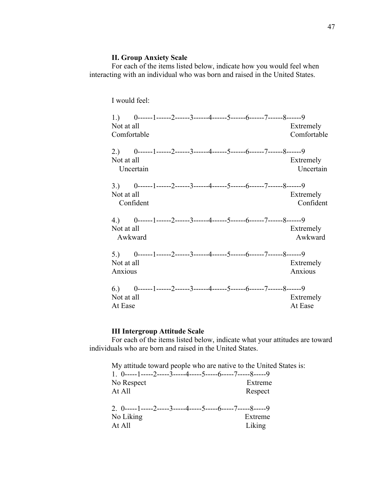# **II. Group Anxiety Scale**

For each of the items listed below, indicate how you would feel when interacting with an individual who was born and raised in the United States.

I would feel:

| Not at all<br>Comfortable |           |  |  |  | 1.) $0$ ------1------2------3------4------5------6------7------8------9 | Extremely<br>Comfortable |
|---------------------------|-----------|--|--|--|-------------------------------------------------------------------------|--------------------------|
| Not at all                | Uncertain |  |  |  | 2.) 0------1------2------3------4------5------6------7------8------9    | Extremely<br>Uncertain   |
| Not at all                | Confident |  |  |  | 3.) 0------1------2------3------4------5------6------7------8------9    | Extremely<br>Confident   |
| Not at all<br>Awkward     |           |  |  |  | 4.) 0------1------2------3------4------5------6------7------8------9    | Extremely<br>Awkward     |
| Not at all<br>Anxious     |           |  |  |  | 5.) 0------1------2------3------4------5------6------7------8------9    | Extremely<br>Anxious     |
| Not at all<br>At Ease     |           |  |  |  | $6.)$ 0------1------2------3------4------5------6------7------8------9  | Extremely<br>At Ease     |

# **III Intergroup Attitude Scale**

For each of the items listed below, indicate what your attitudes are toward individuals who are born and raised in the United States.

| My attitude toward people who are native to the United States is: |         |
|-------------------------------------------------------------------|---------|
| 1. 0-----1-----2-----3-----4-----5-----6-----7-----8-----9        |         |
| No Respect                                                        | Extreme |
| At All                                                            | Respect |
| 2. 0-----1-----2-----3-----4-----5-----6-----7-----8-----9        |         |
| No Liking                                                         | Extreme |
| At All                                                            | Liking  |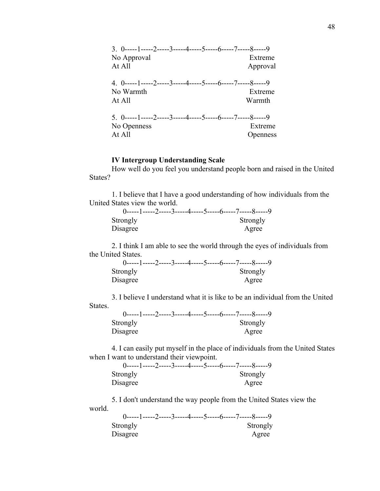| $3.0$ -----1-----2-----3-----4-----5-----6-----7-----8-----9  |          |
|---------------------------------------------------------------|----------|
| No Approval                                                   | Extreme  |
| At All                                                        | Approval |
| 4. 0-----1-----2-----3-----4-----5-----6-----7-----8-----9    |          |
| No Warmth                                                     | Extreme  |
| At All                                                        | Warmth   |
| $5. 0$ -----1-----2-----3-----4-----5-----6-----7-----8-----9 |          |
| No Openness                                                   | Extreme  |
| At All                                                        | Openness |
|                                                               |          |

# **IV Intergroup Understanding Scale**

How well do you feel you understand people born and raised in the United States?

1. I believe that I have a good understanding of how individuals from the United States view the world.

| Strongly | Strongly |
|----------|----------|
| Disagree | Agree    |

2. I think I am able to see the world through the eyes of individuals from the United States.

| $0$ -----1-----2-----3-----4-----5-----6-----7-----8-----9 |          |  |
|------------------------------------------------------------|----------|--|
| Strongly                                                   | Strongly |  |
| Disagree                                                   | Agree    |  |

3. I believe I understand what it is like to be an individual from the United States.

| Strongly |  | Strongly |
|----------|--|----------|
| Disagree |  | Agree    |

4. I can easily put myself in the place of individuals from the United States when I want to understand their viewpoint.

|          | 0-----1-----2-----3-----4-----5-----6-----7-----8-----9 |
|----------|---------------------------------------------------------|
| Strongly | Strongly                                                |
| Disagree | Agree                                                   |

5. I don't understand the way people from the United States view the world.

|          | 0-----1-----2-----3-----4-----5-----6-----7-----8-----9 |
|----------|---------------------------------------------------------|
| Strongly | Strongly                                                |
| Disagree | Agree                                                   |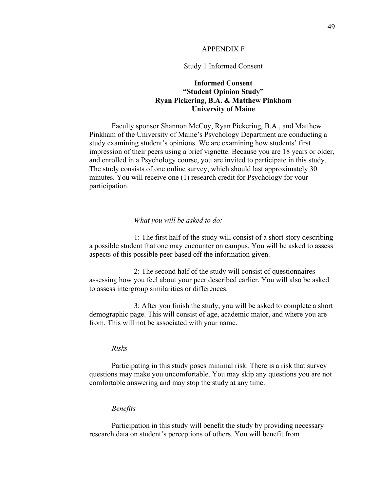## APPENDIX F

## Study 1 Informed Consent

# **Informed Consent "Student Opinion Study" Ryan Pickering, B.A. & Matthew Pinkham University of Maine**

Faculty sponsor Shannon McCoy, Ryan Pickering, B.A., and Matthew Pinkham of the University of Maine's Psychology Department are conducting a study examining student's opinions. We are examining how students' first impression of their peers using a brief vignette. Because you are 18 years or older, and enrolled in a Psychology course, you are invited to participate in this study. The study consists of one online survey, which should last approximately 30 minutes. You will receive one (1) research credit for Psychology for your participation.

#### *What you will be asked to do:*

1: The first half of the study will consist of a short story describing a possible student that one may encounter on campus. You will be asked to assess aspects of this possible peer based off the information given.

2: The second half of the study will consist of questionnaires assessing how you feel about your peer described earlier. You will also be asked to assess intergroup similarities or differences.

3: After you finish the study, you will be asked to complete a short demographic page. This will consist of age, academic major, and where you are from. This will not be associated with your name.

## *Risks*

Participating in this study poses minimal risk. There is a risk that survey questions may make you uncomfortable. You may skip any questions you are not comfortable answering and may stop the study at any time.

## *Benefits*

Participation in this study will benefit the study by providing necessary research data on student's perceptions of others. You will benefit from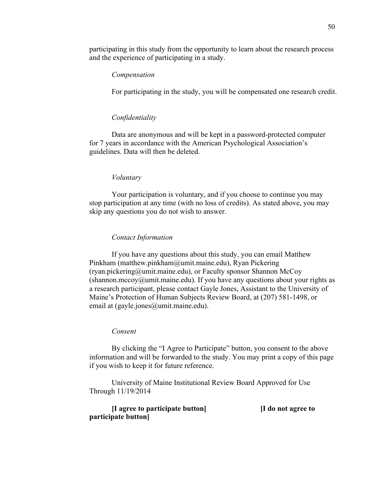participating in this study from the opportunity to learn about the research process and the experience of participating in a study.

## *Compensation*

For participating in the study, you will be compensated one research credit.

## *Confidentiality*

Data are anonymous and will be kept in a password-protected computer for 7 years in accordance with the American Psychological Association's guidelines. Data will then be deleted.

## *Voluntary*

Your participation is voluntary, and if you choose to continue you may stop participation at any time (with no loss of credits). As stated above, you may skip any questions you do not wish to answer.

#### *Contact Information*

If you have any questions about this study, you can email Matthew Pinkham (matthew.pinkham@umit.maine.edu), Ryan Pickering (ryan.pickering@umit.maine.edu), or Faculty sponsor Shannon McCoy  $(\text{shannon.mccov@umit.maine.edu}).$  If you have any questions about your rights as a research participant, please contact Gayle Jones, Assistant to the University of Maine's Protection of Human Subjects Review Board, at (207) 581-1498, or email at (gayle.jones@umit.maine.edu).

## *Consent*

By clicking the "I Agree to Participate" button, you consent to the above information and will be forwarded to the study. You may print a copy of this page if you wish to keep it for future reference.

University of Maine Institutional Review Board Approved for Use Through 11/19/2014

| [I agree to participate button] | I do not agree to |
|---------------------------------|-------------------|
| participate button              |                   |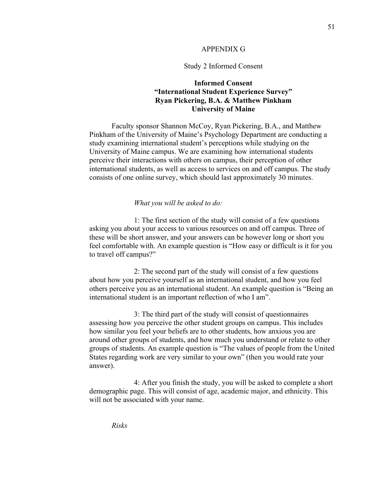## APPENDIX G

## Study 2 Informed Consent

# **Informed Consent "International Student Experience Survey" Ryan Pickering, B.A. & Matthew Pinkham University of Maine**

Faculty sponsor Shannon McCoy, Ryan Pickering, B.A., and Matthew Pinkham of the University of Maine's Psychology Department are conducting a study examining international student's perceptions while studying on the University of Maine campus. We are examining how international students perceive their interactions with others on campus, their perception of other international students, as well as access to services on and off campus. The study consists of one online survey, which should last approximately 30 minutes.

#### *What you will be asked to do:*

1: The first section of the study will consist of a few questions asking you about your access to various resources on and off campus. Three of these will be short answer, and your answers can be however long or short you feel comfortable with. An example question is "How easy or difficult is it for you to travel off campus?"

2: The second part of the study will consist of a few questions about how you perceive yourself as an international student, and how you feel others perceive you as an international student. An example question is "Being an international student is an important reflection of who I am".

3: The third part of the study will consist of questionnaires assessing how you perceive the other student groups on campus. This includes how similar you feel your beliefs are to other students, how anxious you are around other groups of students, and how much you understand or relate to other groups of students. An example question is "The values of people from the United States regarding work are very similar to your own" (then you would rate your answer).

4: After you finish the study, you will be asked to complete a short demographic page. This will consist of age, academic major, and ethnicity. This will not be associated with your name.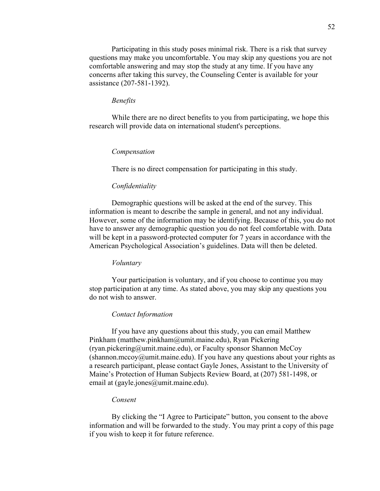Participating in this study poses minimal risk. There is a risk that survey questions may make you uncomfortable. You may skip any questions you are not comfortable answering and may stop the study at any time. If you have any concerns after taking this survey, the Counseling Center is available for your assistance (207-581-1392).

#### *Benefits*

While there are no direct benefits to you from participating, we hope this research will provide data on international student's perceptions.

## *Compensation*

There is no direct compensation for participating in this study.

#### *Confidentiality*

Demographic questions will be asked at the end of the survey. This information is meant to describe the sample in general, and not any individual. However, some of the information may be identifying. Because of this, you do not have to answer any demographic question you do not feel comfortable with. Data will be kept in a password-protected computer for 7 years in accordance with the American Psychological Association's guidelines. Data will then be deleted.

#### *Voluntary*

Your participation is voluntary, and if you choose to continue you may stop participation at any time. As stated above, you may skip any questions you do not wish to answer.

#### *Contact Information*

If you have any questions about this study, you can email Matthew Pinkham (matthew.pinkham@umit.maine.edu), Ryan Pickering (ryan.pickering@umit.maine.edu), or Faculty sponsor Shannon McCoy  $(\text{shannon.mccoy@umit.maine.edu}).$  If you have any questions about your rights as a research participant, please contact Gayle Jones, Assistant to the University of Maine's Protection of Human Subjects Review Board, at (207) 581-1498, or email at (gayle.jones@umit.maine.edu).

## *Consent*

By clicking the "I Agree to Participate" button, you consent to the above information and will be forwarded to the study. You may print a copy of this page if you wish to keep it for future reference.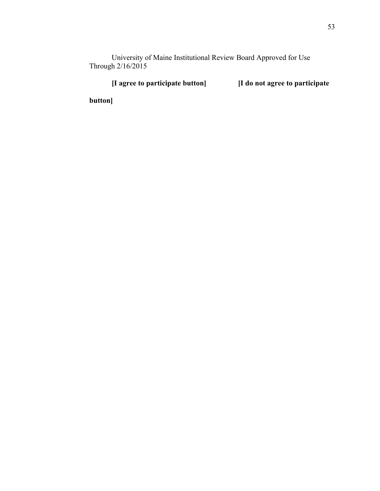University of Maine Institutional Review Board Approved for Use Through 2/16/2015

**[I agree to participate button] [I do not agree to participate** 

**button]**